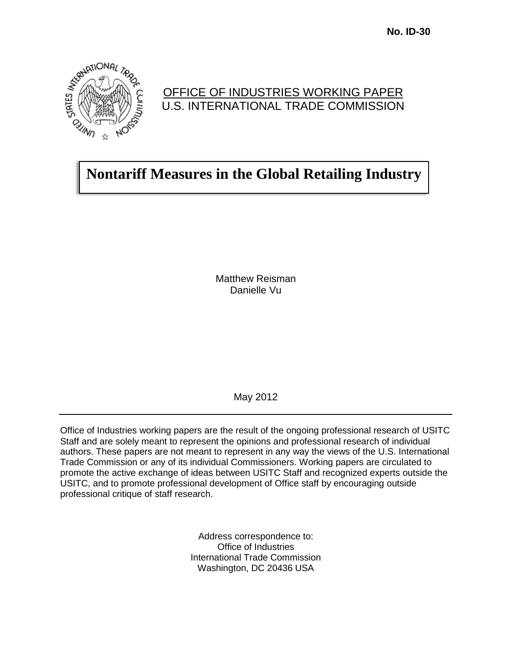

### OFFICE OF INDUSTRIES WORKING PAPER U.S. INTERNATIONAL TRADE COMMISSION

# **Nontariff Measures in the Global Retailing Industry**

Matthew Reisman Danielle Vu

May 2012

Office of Industries working papers are the result of the ongoing professional research of USITC Staff and are solely meant to represent the opinions and professional research of individual authors. These papers are not meant to represent in any way the views of the U.S. International Trade Commission or any of its individual Commissioners. Working papers are circulated to promote the active exchange of ideas between USITC Staff and recognized experts outside the USITC, and to promote professional development of Office staff by encouraging outside professional critique of staff research.

> Address correspondence to: Office of Industries International Trade Commission Washington, DC 20436 USA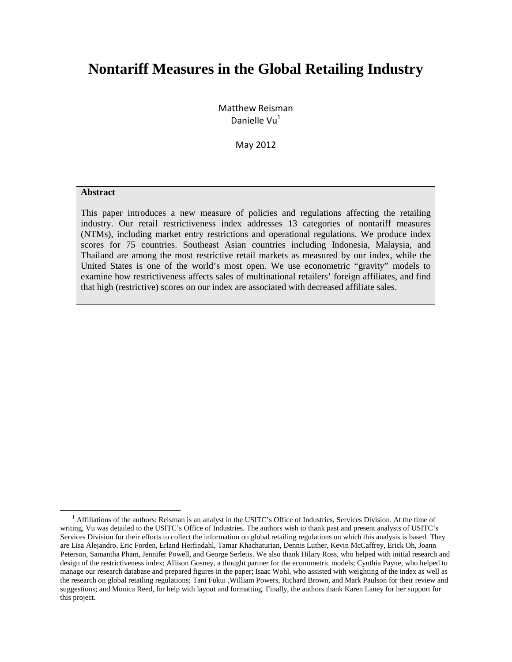# **Nontariff Measures in the Global Retailing Industry**

Matthew Reisman Danielle Vu $<sup>1</sup>$ </sup>

May 2012

#### **Abstract**

This paper introduces a new measure of policies and regulations affecting the retailing industry. Our retail restrictiveness index addresses 13 categories of nontariff measures (NTMs), including market entry restrictions and operational regulations. We produce index scores for 75 countries. Southeast Asian countries including Indonesia, Malaysia, and Thailand are among the most restrictive retail markets as measured by our index, while the United States is one of the world's most open. We use econometric "gravity" models to examine how restrictiveness affects sales of multinational retailers' foreign affiliates, and find that high (restrictive) scores on our index are associated with decreased affiliate sales.

<sup>&</sup>lt;sup>1</sup> Affiliations of the authors: Reisman is an analyst in the USITC's Office of Industries, Services Division. At the time of writing, Vu was detailed to the USITC's Office of Industries. The authors wish to thank past and present analysts of USITC's Services Division for their efforts to collect the information on global retailing regulations on which this analysis is based. They are Lisa Alejandro, Eric Forden, Erland Herfindahl, Tamar Khachaturian, Dennis Luther, Kevin McCaffrey, Erick Oh, Joann Peterson, Samantha Pham, Jennifer Powell, and George Serletis. We also thank Hilary Ross, who helped with initial research and design of the restrictiveness index; Allison Gosney, a thought partner for the econometric models; Cynthia Payne, who helped to manage our research database and prepared figures in the paper; Isaac Wohl, who assisted with weighting of the index as well as the research on global retailing regulations; Tani Fukui ,William Powers, Richard Brown, and Mark Paulson for their review and suggestions; and Monica Reed, for help with layout and formatting. Finally, the authors thank Karen Laney for her support for this project.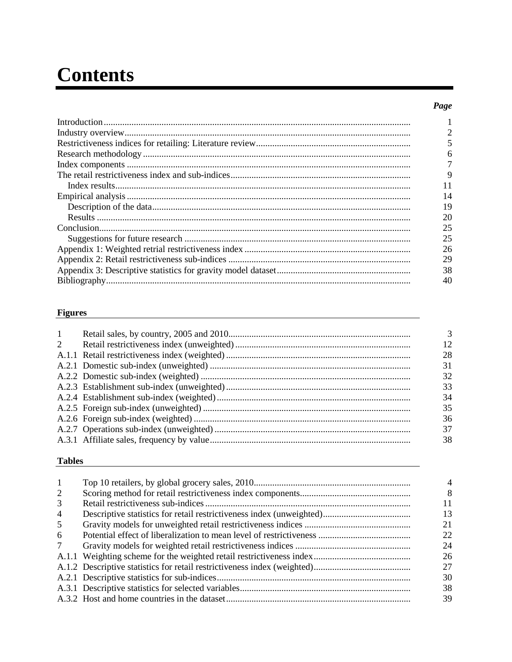# **Contents**

#### Page

| 6  |
|----|
|    |
| 9  |
| 11 |
| 14 |
| 19 |
| 20 |
| 25 |
| 25 |
| 26 |
| 29 |
| 38 |
| 40 |

### **Figures**

| $\mathbf{1}$ | 3  |
|--------------|----|
| 2            | 12 |
|              | 28 |
|              | 31 |
|              | 32 |
|              | 33 |
|              | 34 |
|              | 35 |
|              | 36 |
|              | 37 |
|              | 38 |
|              |    |

#### **Tables**

| 4  |
|----|
| 8  |
| 11 |
| 13 |
| 21 |
| 22 |
| 24 |
| 26 |
| 27 |
| 30 |
| 38 |
| 39 |
|    |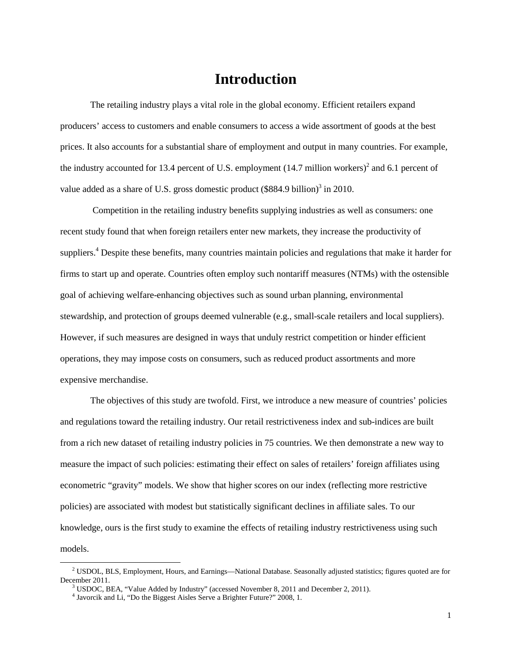### **Introduction**

The retailing industry plays a vital role in the global economy. Efficient retailers expand producers' access to customers and enable consumers to access a wide assortment of goods at the best prices. It also accounts for a substantial share of employment and output in many countries. For example, the industry accounted for 13.4 percent of U.S. employment  $(14.7 \text{ million workers})^2$  and 6.1 percent of value added as a share of U.S. gross domestic product  $(\$884.9 \text{ billion})^3$  in 2010.

Competition in the retailing industry benefits supplying industries as well as consumers: one recent study found that when foreign retailers enter new markets, they increase the productivity of suppliers.<sup>4</sup> Despite these benefits, many countries maintain policies and regulations that make it harder for firms to start up and operate. Countries often employ such nontariff measures (NTMs) with the ostensible goal of achieving welfare-enhancing objectives such as sound urban planning, environmental stewardship, and protection of groups deemed vulnerable (e.g., small-scale retailers and local suppliers). However, if such measures are designed in ways that unduly restrict competition or hinder efficient operations, they may impose costs on consumers, such as reduced product assortments and more expensive merchandise.

The objectives of this study are twofold. First, we introduce a new measure of countries' policies and regulations toward the retailing industry. Our retail restrictiveness index and sub-indices are built from a rich new dataset of retailing industry policies in 75 countries. We then demonstrate a new way to measure the impact of such policies: estimating their effect on sales of retailers' foreign affiliates using econometric "gravity" models. We show that higher scores on our index (reflecting more restrictive policies) are associated with modest but statistically significant declines in affiliate sales. To our knowledge, ours is the first study to examine the effects of retailing industry restrictiveness using such models.

 $2$  USDOL, BLS, Employment, Hours, and Earnings—National Database. Seasonally adjusted statistics; figures quoted are for December 2011.

 $3$  USDOC, BEA, "Value Added by Industry" (accessed November 8, 2011 and December 2, 2011).

<sup>4</sup> Javorcik and Li, "Do the Biggest Aisles Serve a Brighter Future?" 2008, 1.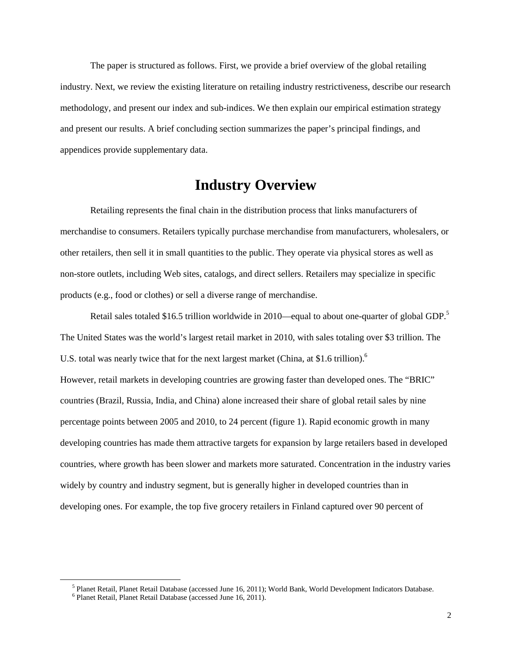The paper is structured as follows. First, we provide a brief overview of the global retailing industry. Next, we review the existing literature on retailing industry restrictiveness, describe our research methodology, and present our index and sub-indices. We then explain our empirical estimation strategy and present our results. A brief concluding section summarizes the paper's principal findings, and appendices provide supplementary data.

### **Industry Overview**

Retailing represents the final chain in the distribution process that links manufacturers of merchandise to consumers. Retailers typically purchase merchandise from manufacturers, wholesalers, or other retailers, then sell it in small quantities to the public. They operate via physical stores as well as non-store outlets, including Web sites, catalogs, and direct sellers. Retailers may specialize in specific products (e.g., food or clothes) or sell a diverse range of merchandise.

Retail sales totaled \$16.5 trillion worldwide in 2010—equal to about one-quarter of global GDP.<sup>5</sup> The United States was the world's largest retail market in 2010, with sales totaling over \$3 trillion. The U.S. total was nearly twice that for the next largest market (China, at \$1.6 trillion).<sup>6</sup> However, retail markets in developing countries are growing faster than developed ones. The "BRIC" countries (Brazil, Russia, India, and China) alone increased their share of global retail sales by nine percentage points between 2005 and 2010, to 24 percent (figure 1). Rapid economic growth in many developing countries has made them attractive targets for expansion by large retailers based in developed countries, where growth has been slower and markets more saturated. Concentration in the industry varies widely by country and industry segment, but is generally higher in developed countries than in developing ones. For example, the top five grocery retailers in Finland captured over 90 percent of

<sup>&</sup>lt;sup>5</sup> Planet Retail, Planet Retail Database (accessed June 16, 2011); World Bank, World Development Indicators Database. <sup>6</sup> Planet Retail, Planet Retail Database (accessed June 16, 2011).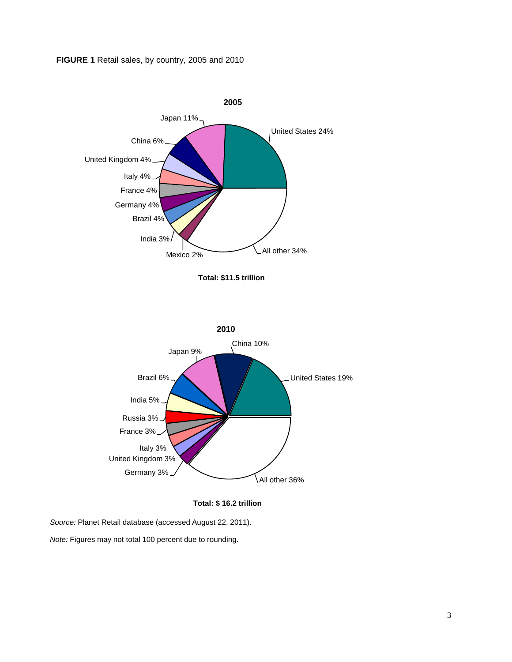#### **FIGURE 1** Retail sales, by country, 2005 and 2010



**Total: \$ 16.2 trillion**

*Source:* Planet Retail database (accessed August 22, 2011).

*Note:* Figures may not total 100 percent due to rounding.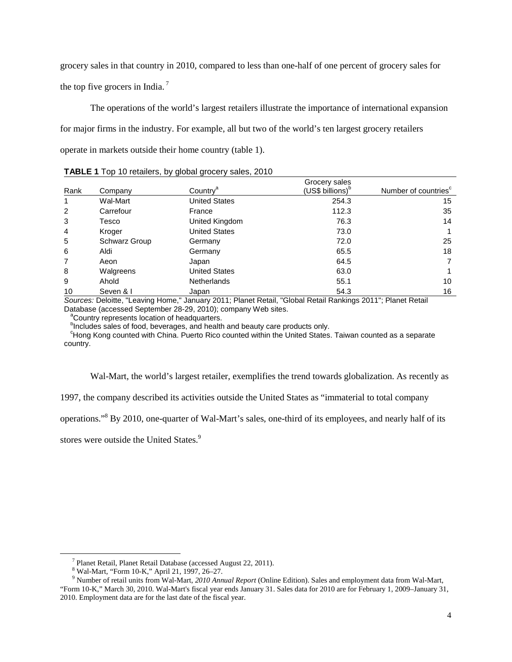grocery sales in that country in 2010, compared to less than one-half of one percent of grocery sales for the top five grocers in India.<sup>7</sup>

The operations of the world's largest retailers illustrate the importance of international expansion for major firms in the industry. For example, all but two of the world's ten largest grocery retailers operate in markets outside their home country (table 1).

|      |                      |                      | Grocery sales                |                                  |
|------|----------------------|----------------------|------------------------------|----------------------------------|
| Rank | Company              | Country <sup>a</sup> | (US\$ billions) <sup>b</sup> | Number of countries <sup>c</sup> |
| 1    | Wal-Mart             | <b>United States</b> | 254.3                        | 15                               |
| 2    | Carrefour            | France               | 112.3                        | 35                               |
| 3    | Tesco                | United Kingdom       | 76.3                         | 14                               |
| 4    | Kroger               | <b>United States</b> | 73.0                         |                                  |
| 5    | <b>Schwarz Group</b> | Germany              | 72.0                         | 25                               |
| 6    | Aldi                 | Germany              | 65.5                         | 18                               |
| 7    | Aeon                 | Japan                | 64.5                         | 7                                |
| 8    | Walgreens            | United States        | 63.0                         |                                  |
| 9    | Ahold                | <b>Netherlands</b>   | 55.1                         | 10                               |
| 10   | Seven & I            | Japan                | 54.3                         | 16                               |

**TABLE 1** Top 10 retailers, by global grocery sales, 2010

*Sources:* Deloitte, "Leaving Home," January 2011; Planet Retail, "Global Retail Rankings 2011"; Planet Retail Database (accessed September 28-29, 2010); company Web sites.

a Country represents location of headquarters.

<sup>b</sup>Includes sales of food, beverages, and health and beauty care products only.

<sup>c</sup>Hong Kong counted with China. Puerto Rico counted within the United States. Taiwan counted as a separate country.

Wal-Mart, the world's largest retailer, exemplifies the trend towards globalization. As recently as

1997, the company described its activities outside the United States as "immaterial to total company

operations."8 By 2010, one-quarter of Wal-Mart's sales, one-third of its employees, and nearly half of its

stores were outside the United States.<sup>9</sup>

<sup>&</sup>lt;sup>7</sup> Planet Retail, Planet Retail Database (accessed August 22, 2011).<br><sup>8</sup> Wal-Mart, "Form 10-K," April 21, 1997, 26–27.

<sup>&</sup>lt;sup>9</sup> Number of retail units from Wal-Mart, 2010 Annual Report (Online Edition). Sales and employment data from Wal-Mart, "Form 10-K," March 30, 2010. Wal-Mart's fiscal year ends January 31. Sales data for 2010 are for February 1, 2009–January 31, 2010. Employment data are for the last date of the fiscal year.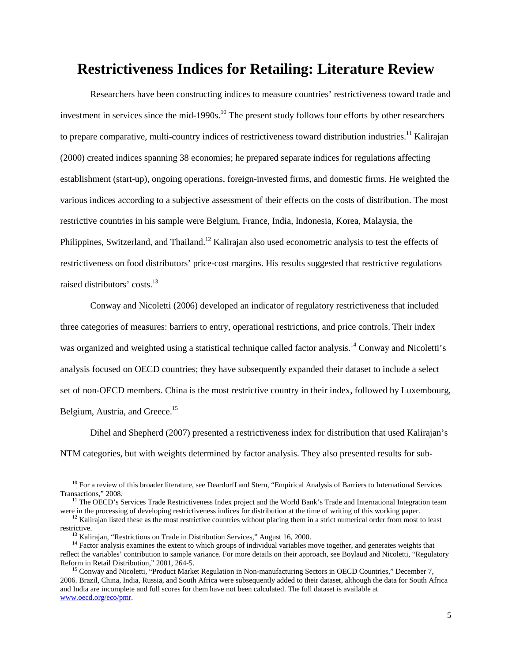### **Restrictiveness Indices for Retailing: Literature Review**

Researchers have been constructing indices to measure countries' restrictiveness toward trade and investment in services since the mid-1990s.<sup>10</sup> The present study follows four efforts by other researchers to prepare comparative, multi-country indices of restrictiveness toward distribution industries.<sup>11</sup> Kalirajan (2000) created indices spanning 38 economies; he prepared separate indices for regulations affecting establishment (start-up), ongoing operations, foreign-invested firms, and domestic firms. He weighted the various indices according to a subjective assessment of their effects on the costs of distribution. The most restrictive countries in his sample were Belgium, France, India, Indonesia, Korea, Malaysia, the Philippines, Switzerland, and Thailand.<sup>12</sup> Kalirajan also used econometric analysis to test the effects of restrictiveness on food distributors' price-cost margins. His results suggested that restrictive regulations raised distributors' costs.<sup>13</sup>

Conway and Nicoletti (2006) developed an indicator of regulatory restrictiveness that included three categories of measures: barriers to entry, operational restrictions, and price controls. Their index was organized and weighted using a statistical technique called factor analysis.<sup>14</sup> Conway and Nicoletti's analysis focused on OECD countries; they have subsequently expanded their dataset to include a select set of non-OECD members. China is the most restrictive country in their index, followed by Luxembourg, Belgium, Austria, and Greece.<sup>15</sup>

Dihel and Shepherd (2007) presented a restrictiveness index for distribution that used Kalirajan's NTM categories, but with weights determined by factor analysis. They also presented results for sub-

<sup>&</sup>lt;sup>10</sup> For a review of this broader literature, see Deardorff and Stern, "Empirical Analysis of Barriers to International Services Transactions," 2008.

<sup>&</sup>lt;sup>11</sup> The OECD's Services Trade Restrictiveness Index project and the World Bank's Trade and International Integration team were in the processing of developing restrictiveness indices for distribution at the time of writi

 $12$  Kalirajan listed these as the most restrictive countries without placing them in a strict numerical order from most to least

restrictive.<br><sup>13</sup> Kalirajan, "Restrictions on Trade in Distribution Services," August 16, 2000.<br><sup>14</sup> Factor analysis examines the extent to which groups of individual variables move together, and generates weights that reflect the variables' contribution to sample variance. For more details on their approach, see Boylaud and Nicoletti, "Regulatory Reform in Retail Distribution." 2001. 264-5.

<sup>&</sup>lt;sup>15</sup> Conway and Nicoletti, "Product Market Regulation in Non-manufacturing Sectors in OECD Countries," December 7, 2006. Brazil, China, India, Russia, and South Africa were subsequently added to their dataset, although the data for South Africa and India are incomplete and full scores for them have not been calculated. The full dataset is available at [www.oecd.org/eco/pmr.](http://www.oecd.org/eco/pmr)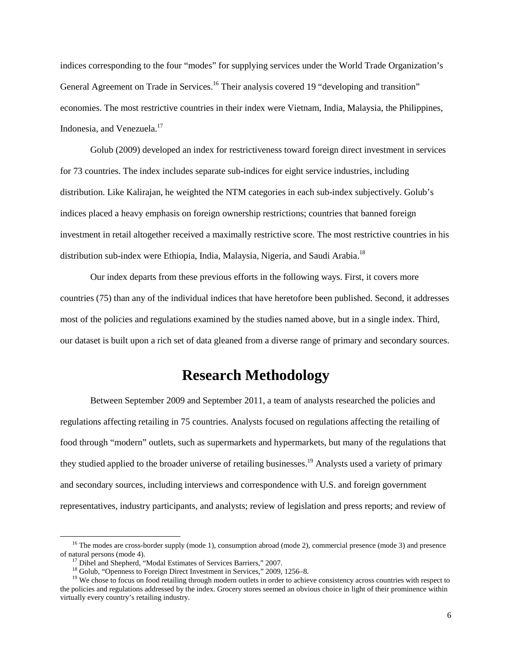indices corresponding to the four "modes" for supplying services under the World Trade Organization's General Agreement on Trade in Services.<sup>16</sup> Their analysis covered 19 "developing and transition" economies. The most restrictive countries in their index were Vietnam, India, Malaysia, the Philippines, Indonesia, and Venezuela.<sup>17</sup>

Golub (2009) developed an index for restrictiveness toward foreign direct investment in services for 73 countries. The index includes separate sub-indices for eight service industries, including distribution. Like Kalirajan, he weighted the NTM categories in each sub-index subjectively. Golub's indices placed a heavy emphasis on foreign ownership restrictions; countries that banned foreign investment in retail altogether received a maximally restrictive score. The most restrictive countries in his distribution sub-index were Ethiopia, India, Malaysia, Nigeria, and Saudi Arabia.<sup>18</sup>

Our index departs from these previous efforts in the following ways. First, it covers more countries (75) than any of the individual indices that have heretofore been published. Second, it addresses most of the policies and regulations examined by the studies named above, but in a single index. Third, our dataset is built upon a rich set of data gleaned from a diverse range of primary and secondary sources.

### **Research Methodology**

Between September 2009 and September 2011, a team of analysts researched the policies and regulations affecting retailing in 75 countries. Analysts focused on regulations affecting the retailing of food through "modern" outlets, such as supermarkets and hypermarkets, but many of the regulations that they studied applied to the broader universe of retailing businesses.<sup>19</sup> Analysts used a variety of primary and secondary sources, including interviews and correspondence with U.S. and foreign government representatives, industry participants, and analysts; review of legislation and press reports; and review of

<sup>&</sup>lt;sup>16</sup> The modes are cross-border supply (mode 1), consumption abroad (mode 2), commercial presence (mode 3) and presence of natural persons (mode 4).

<sup>&</sup>lt;sup>17</sup> Dihel and Shepherd, "Modal Estimates of Services Barriers," 2007.<br><sup>18</sup> Golub, "Openness to Foreign Direct Investment in Services," 2009, 1256–8.<br><sup>19</sup> We chose to focus on food retailing through modern outlets in orde the policies and regulations addressed by the index. Grocery stores seemed an obvious choice in light of their prominence within virtually every country's retailing industry.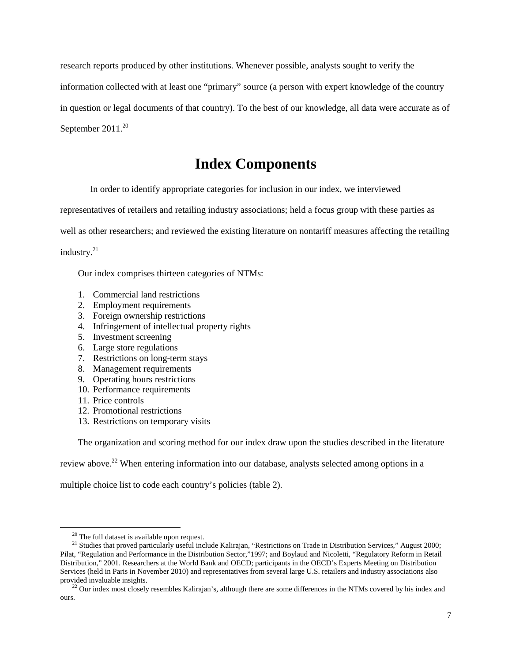research reports produced by other institutions. Whenever possible, analysts sought to verify the information collected with at least one "primary" source (a person with expert knowledge of the country in question or legal documents of that country). To the best of our knowledge, all data were accurate as of September  $2011^{20}$ 

# **Index Components**

In order to identify appropriate categories for inclusion in our index, we interviewed

representatives of retailers and retailing industry associations; held a focus group with these parties as

well as other researchers; and reviewed the existing literature on nontariff measures affecting the retailing

industry.<sup>21</sup>

Our index comprises thirteen categories of NTMs:

- 1. Commercial land restrictions
- 2. Employment requirements
- 3. Foreign ownership restrictions
- 4. Infringement of intellectual property rights
- 5. Investment screening
- 6. Large store regulations
- 7. Restrictions on long-term stays
- 8. Management requirements
- 9. Operating hours restrictions
- 10. Performance requirements
- 11. Price controls
- 12. Promotional restrictions
- 13. Restrictions on temporary visits

The organization and scoring method for our index draw upon the studies described in the literature

review above.<sup>22</sup> When entering information into our database, analysts selected among options in a

multiple choice list to code each country's policies (table 2).

<sup>&</sup>lt;sup>20</sup> The full dataset is available upon request.<br><sup>21</sup> Studies that proved particularly useful include Kalirajan, "Restrictions on Trade in Distribution Services," August 2000; Pilat, "Regulation and Performance in the Distribution Sector,"1997; and Boylaud and Nicoletti, "Regulatory Reform in Retail Distribution," 2001. Researchers at the World Bank and OECD; participants in the OECD's Experts Meeting on Distribution Services (held in Paris in November 2010) and representatives from several large U.S. retailers and industry associations also provided invaluable insights.<br><sup>22</sup> Our index most closely resembles Kalirajan's, although there are some differences in the NTMs covered by his index and

ours.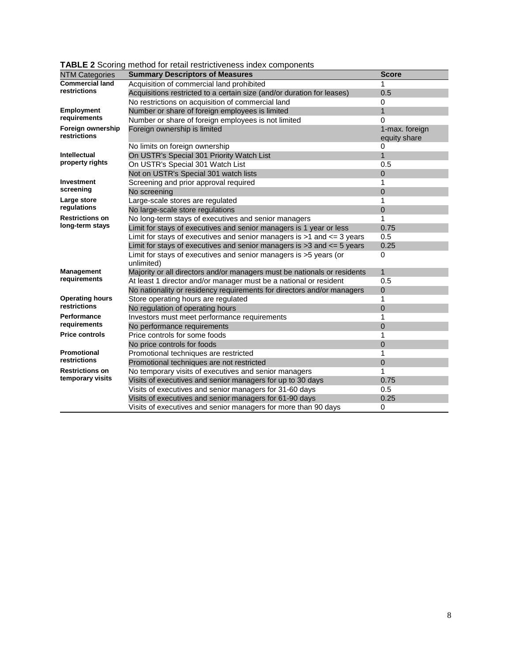|                                   | $\blacksquare$ $\blacksquare$ $\blacksquare$ $\blacksquare$ $\blacksquare$ $\blacksquare$ $\blacksquare$ $\blacksquare$ $\blacksquare$ $\blacksquare$ $\blacksquare$ $\blacksquare$ $\blacksquare$ $\blacksquare$ $\blacksquare$ $\blacksquare$ $\blacksquare$ $\blacksquare$ $\blacksquare$ $\blacksquare$ $\blacksquare$ $\blacksquare$ $\blacksquare$ $\blacksquare$ $\blacksquare$ $\blacksquare$ $\blacksquare$ $\blacksquare$ $\blacksquare$ $\blacksquare$ $\blacksquare$ $\blacks$ |                                |
|-----------------------------------|--------------------------------------------------------------------------------------------------------------------------------------------------------------------------------------------------------------------------------------------------------------------------------------------------------------------------------------------------------------------------------------------------------------------------------------------------------------------------------------------|--------------------------------|
| <b>NTM Categories</b>             | <b>Summary Descriptors of Measures</b>                                                                                                                                                                                                                                                                                                                                                                                                                                                     | <b>Score</b>                   |
| <b>Commercial land</b>            | Acquisition of commercial land prohibited                                                                                                                                                                                                                                                                                                                                                                                                                                                  | 1                              |
| restrictions                      | Acquisitions restricted to a certain size (and/or duration for leases)                                                                                                                                                                                                                                                                                                                                                                                                                     | 0.5                            |
|                                   | No restrictions on acquisition of commercial land                                                                                                                                                                                                                                                                                                                                                                                                                                          | 0                              |
| <b>Employment</b>                 | Number or share of foreign employees is limited                                                                                                                                                                                                                                                                                                                                                                                                                                            | $\mathbf{1}$                   |
| requirements                      | Number or share of foreign employees is not limited                                                                                                                                                                                                                                                                                                                                                                                                                                        | 0                              |
| Foreign ownership<br>restrictions | Foreign ownership is limited                                                                                                                                                                                                                                                                                                                                                                                                                                                               | 1-max. foreign<br>equity share |
|                                   | No limits on foreign ownership                                                                                                                                                                                                                                                                                                                                                                                                                                                             | 0                              |
| <b>Intellectual</b>               | On USTR's Special 301 Priority Watch List                                                                                                                                                                                                                                                                                                                                                                                                                                                  | $\mathbf{1}$                   |
| property rights                   | On USTR's Special 301 Watch List                                                                                                                                                                                                                                                                                                                                                                                                                                                           | 0.5                            |
|                                   | Not on USTR's Special 301 watch lists                                                                                                                                                                                                                                                                                                                                                                                                                                                      | 0                              |
| <b>Investment</b>                 | Screening and prior approval required                                                                                                                                                                                                                                                                                                                                                                                                                                                      | 1                              |
| screening                         | No screening                                                                                                                                                                                                                                                                                                                                                                                                                                                                               | 0                              |
| Large store                       | Large-scale stores are regulated                                                                                                                                                                                                                                                                                                                                                                                                                                                           | 1                              |
| regulations                       | No large-scale store regulations                                                                                                                                                                                                                                                                                                                                                                                                                                                           | 0                              |
| <b>Restrictions on</b>            | No long-term stays of executives and senior managers                                                                                                                                                                                                                                                                                                                                                                                                                                       | 1                              |
| long-term stays                   | Limit for stays of executives and senior managers is 1 year or less                                                                                                                                                                                                                                                                                                                                                                                                                        | 0.75                           |
|                                   | Limit for stays of executives and senior managers is $>1$ and $<=$ 3 years                                                                                                                                                                                                                                                                                                                                                                                                                 | 0.5                            |
|                                   | Limit for stays of executives and senior managers is $>3$ and $<= 5$ years                                                                                                                                                                                                                                                                                                                                                                                                                 | 0.25                           |
|                                   | Limit for stays of executives and senior managers is >5 years (or<br>unlimited)                                                                                                                                                                                                                                                                                                                                                                                                            | 0                              |
| Management                        | Majority or all directors and/or managers must be nationals or residents                                                                                                                                                                                                                                                                                                                                                                                                                   | $\mathbf{1}$                   |
| requirements                      | At least 1 director and/or manager must be a national or resident                                                                                                                                                                                                                                                                                                                                                                                                                          | 0.5                            |
|                                   | No nationality or residency requirements for directors and/or managers                                                                                                                                                                                                                                                                                                                                                                                                                     | 0                              |
| <b>Operating hours</b>            | Store operating hours are regulated                                                                                                                                                                                                                                                                                                                                                                                                                                                        | 1                              |
| restrictions                      | No regulation of operating hours                                                                                                                                                                                                                                                                                                                                                                                                                                                           | 0                              |
| <b>Performance</b>                | Investors must meet performance requirements                                                                                                                                                                                                                                                                                                                                                                                                                                               | 1                              |
| requirements                      | No performance requirements                                                                                                                                                                                                                                                                                                                                                                                                                                                                | 0                              |
| <b>Price controls</b>             | Price controls for some foods                                                                                                                                                                                                                                                                                                                                                                                                                                                              | 1                              |
|                                   | No price controls for foods                                                                                                                                                                                                                                                                                                                                                                                                                                                                | 0                              |
| <b>Promotional</b>                | Promotional techniques are restricted                                                                                                                                                                                                                                                                                                                                                                                                                                                      | 1                              |
| restrictions                      | Promotional techniques are not restricted                                                                                                                                                                                                                                                                                                                                                                                                                                                  | 0                              |
| <b>Restrictions on</b>            | No temporary visits of executives and senior managers                                                                                                                                                                                                                                                                                                                                                                                                                                      | 1                              |
| temporary visits                  | Visits of executives and senior managers for up to 30 days                                                                                                                                                                                                                                                                                                                                                                                                                                 | 0.75                           |
|                                   | Visits of executives and senior managers for 31-60 days                                                                                                                                                                                                                                                                                                                                                                                                                                    | 0.5                            |
|                                   | Visits of executives and senior managers for 61-90 days                                                                                                                                                                                                                                                                                                                                                                                                                                    | 0.25                           |
|                                   | Visits of executives and senior managers for more than 90 days                                                                                                                                                                                                                                                                                                                                                                                                                             | 0                              |

**TABLE 2** Scoring method for retail restrictiveness index components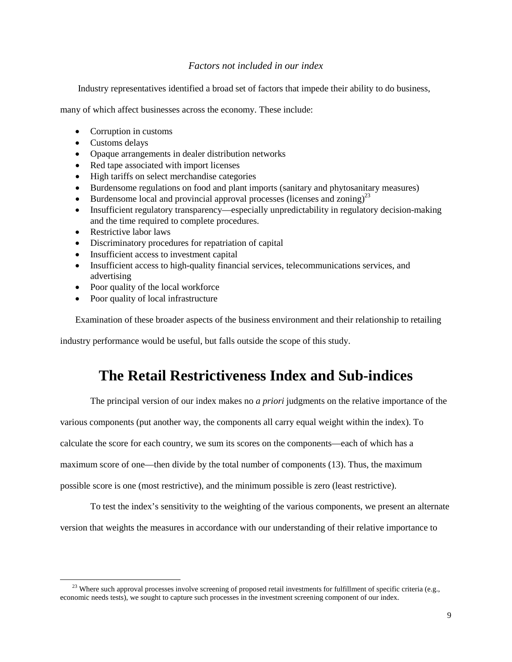#### *Factors not included in our index*

Industry representatives identified a broad set of factors that impede their ability to do business,

many of which affect businesses across the economy. These include:

- Corruption in customs
- Customs delays
- Opaque arrangements in dealer distribution networks
- Red tape associated with import licenses
- High tariffs on select merchandise categories
- Burdensome regulations on food and plant imports (sanitary and phytosanitary measures)
- Burdensome local and provincial approval processes (licenses and zoning)<sup>23</sup>
- Insufficient regulatory transparency—especially unpredictability in regulatory decision-making and the time required to complete procedures.
- Restrictive labor laws
- Discriminatory procedures for repatriation of capital
- Insufficient access to investment capital
- Insufficient access to high-quality financial services, telecommunications services, and advertising
- Poor quality of the local workforce
- Poor quality of local infrastructure

Examination of these broader aspects of the business environment and their relationship to retailing

industry performance would be useful, but falls outside the scope of this study.

# **The Retail Restrictiveness Index and Sub-indices**

The principal version of our index makes no *a priori* judgments on the relative importance of the

various components (put another way, the components all carry equal weight within the index). To

calculate the score for each country, we sum its scores on the components—each of which has a

maximum score of one—then divide by the total number of components (13). Thus, the maximum

possible score is one (most restrictive), and the minimum possible is zero (least restrictive).

To test the index's sensitivity to the weighting of the various components, we present an alternate version that weights the measures in accordance with our understanding of their relative importance to

<sup>&</sup>lt;sup>23</sup> Where such approval processes involve screening of proposed retail investments for fulfillment of specific criteria (e.g., economic needs tests), we sought to capture such processes in the investment screening component of our index.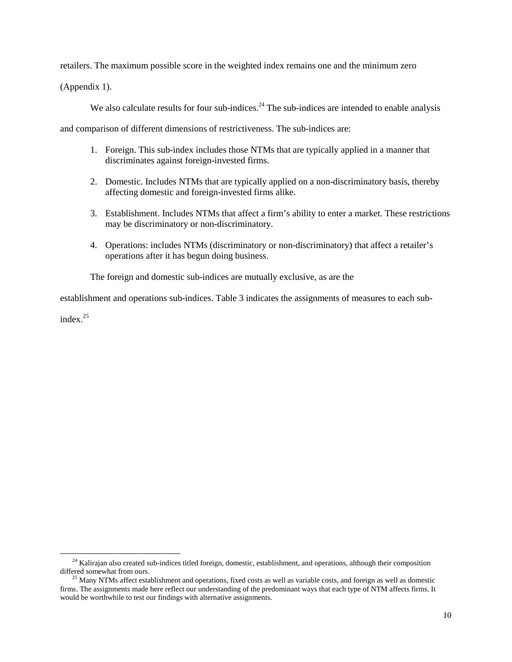retailers. The maximum possible score in the weighted index remains one and the minimum zero

(Appendix 1).

We also calculate results for four sub-indices. $^{24}$  The sub-indices are intended to enable analysis

and comparison of different dimensions of restrictiveness. The sub-indices are:

- 1. Foreign. This sub-index includes those NTMs that are typically applied in a manner that discriminates against foreign-invested firms.
- 2. Domestic. Includes NTMs that are typically applied on a non-discriminatory basis, thereby affecting domestic and foreign-invested firms alike.
- 3. Establishment. Includes NTMs that affect a firm's ability to enter a market. These restrictions may be discriminatory or non-discriminatory.
- 4. Operations: includes NTMs (discriminatory or non-discriminatory) that affect a retailer's operations after it has begun doing business.

The foreign and domestic sub-indices are mutually exclusive, as are the

establishment and operations sub-indices. Table 3 indicates the assignments of measures to each sub-

index.25

 $24$  Kalirajan also created sub-indices titled foreign, domestic, establishment, and operations, although their composition differed somewhat from ours.<br><sup>25</sup> Many NTMs affect establishment and operations, fixed costs as well as variable costs, and foreign as well as domestic

firms. The assignments made here reflect our understanding of the predominant ways that each type of NTM affects firms. It would be worthwhile to test our findings with alternative assignments.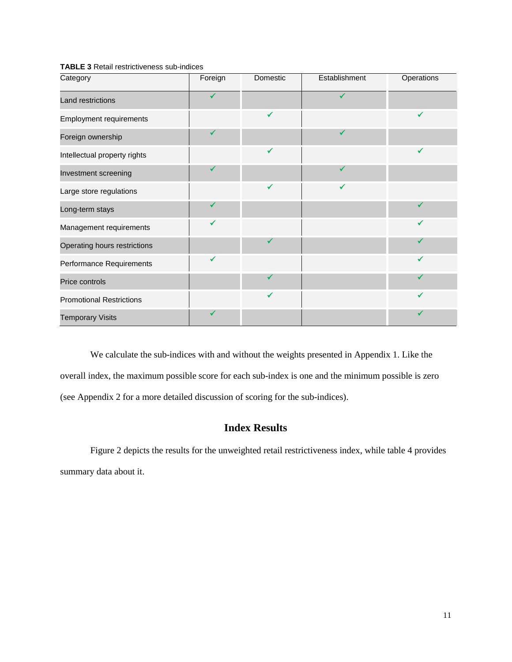| Category                        | Foreign      | Domestic     | Establishment | Operations |
|---------------------------------|--------------|--------------|---------------|------------|
| Land restrictions               | $\checkmark$ |              |               |            |
| <b>Employment requirements</b>  |              | ✓            |               | ✓          |
| Foreign ownership               | $\checkmark$ |              | ✔             |            |
| Intellectual property rights    |              |              |               |            |
| Investment screening            | $\checkmark$ |              | ✔             |            |
| Large store regulations         |              | $\checkmark$ | ✔             |            |
| Long-term stays                 | ✔            |              |               |            |
| Management requirements         | $\checkmark$ |              |               |            |
| Operating hours restrictions    |              | $\checkmark$ |               | ✔          |
| Performance Requirements        | $\checkmark$ |              |               | √          |
| Price controls                  |              | ✔            |               |            |
| <b>Promotional Restrictions</b> |              | ✓            |               | ✓          |
| <b>Temporary Visits</b>         | $\checkmark$ |              |               |            |

**TABLE 3** Retail restrictiveness sub-indices

We calculate the sub-indices with and without the weights presented in Appendix 1. Like the overall index, the maximum possible score for each sub-index is one and the minimum possible is zero (see Appendix 2 for a more detailed discussion of scoring for the sub-indices).

### **Index Results**

Figure 2 depicts the results for the unweighted retail restrictiveness index, while table 4 provides summary data about it.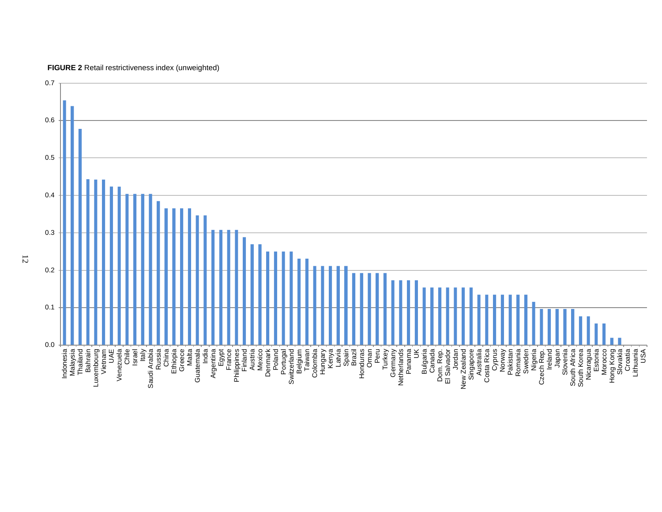

**FIGURE 2** Retail restrictiveness index (unweighted)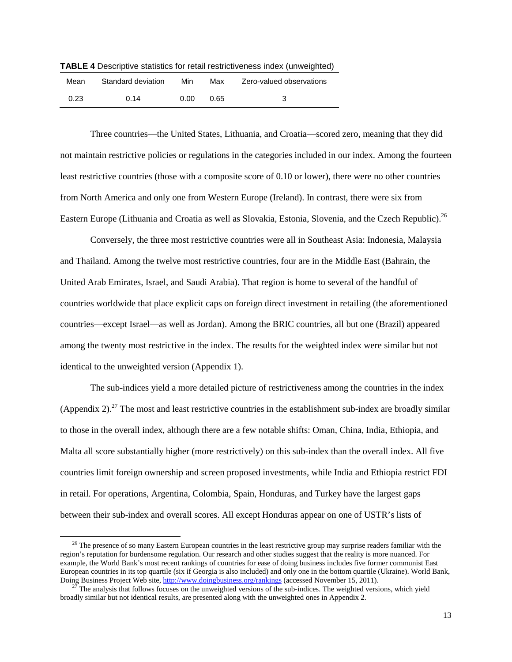| Mean | Standard deviation | Min  | Max  | Zero-valued observations |
|------|--------------------|------|------|--------------------------|
| 0.23 | 0.14               | 0.00 | 0.65 | 3                        |

**TABLE 4** Descriptive statistics for retail restrictiveness index (unweighted)

Three countries—the United States, Lithuania, and Croatia—scored zero, meaning that they did not maintain restrictive policies or regulations in the categories included in our index. Among the fourteen least restrictive countries (those with a composite score of 0.10 or lower), there were no other countries from North America and only one from Western Europe (Ireland). In contrast, there were six from Eastern Europe (Lithuania and Croatia as well as Slovakia, Estonia, Slovenia, and the Czech Republic).<sup>26</sup>

Conversely, the three most restrictive countries were all in Southeast Asia: Indonesia, Malaysia and Thailand. Among the twelve most restrictive countries, four are in the Middle East (Bahrain, the United Arab Emirates, Israel, and Saudi Arabia). That region is home to several of the handful of countries worldwide that place explicit caps on foreign direct investment in retailing (the aforementioned countries—except Israel—as well as Jordan). Among the BRIC countries, all but one (Brazil) appeared among the twenty most restrictive in the index. The results for the weighted index were similar but not identical to the unweighted version (Appendix 1).

The sub-indices yield a more detailed picture of restrictiveness among the countries in the index (Appendix 2).<sup>27</sup> The most and least restrictive countries in the establishment sub-index are broadly similar to those in the overall index, although there are a few notable shifts: Oman, China, India, Ethiopia, and Malta all score substantially higher (more restrictively) on this sub-index than the overall index. All five countries limit foreign ownership and screen proposed investments, while India and Ethiopia restrict FDI in retail. For operations, Argentina, Colombia, Spain, Honduras, and Turkey have the largest gaps between their sub-index and overall scores. All except Honduras appear on one of USTR's lists of

<sup>&</sup>lt;sup>26</sup> The presence of so many Eastern European countries in the least restrictive group may surprise readers familiar with the region's reputation for burdensome regulation. Our research and other studies suggest that the reality is more nuanced. For example, the World Bank's most recent rankings of countries for ease of doing business includes five former communist East European countries in its top quartile (six if Georgia is also included) and only one in the bottom quartile (Ukraine). World Bank, Doing Business Project Web site, http://www.doingbusiness.org/rankings (accessed November

 $2<sup>7</sup>$  The analysis that follows focuses on the unweighted versions of the sub-indices. The weighted versions, which yield broadly similar but not identical results, are presented along with the unweighted ones in Appendix 2.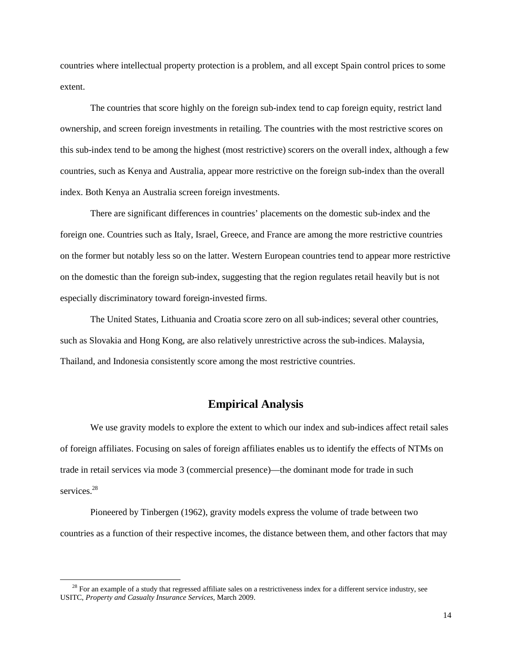countries where intellectual property protection is a problem, and all except Spain control prices to some extent.

The countries that score highly on the foreign sub-index tend to cap foreign equity, restrict land ownership, and screen foreign investments in retailing. The countries with the most restrictive scores on this sub-index tend to be among the highest (most restrictive) scorers on the overall index, although a few countries, such as Kenya and Australia, appear more restrictive on the foreign sub-index than the overall index. Both Kenya an Australia screen foreign investments.

There are significant differences in countries' placements on the domestic sub-index and the foreign one. Countries such as Italy, Israel, Greece, and France are among the more restrictive countries on the former but notably less so on the latter. Western European countries tend to appear more restrictive on the domestic than the foreign sub-index, suggesting that the region regulates retail heavily but is not especially discriminatory toward foreign-invested firms.

The United States, Lithuania and Croatia score zero on all sub-indices; several other countries, such as Slovakia and Hong Kong, are also relatively unrestrictive across the sub-indices. Malaysia, Thailand, and Indonesia consistently score among the most restrictive countries.

#### **Empirical Analysis**

We use gravity models to explore the extent to which our index and sub-indices affect retail sales of foreign affiliates. Focusing on sales of foreign affiliates enables us to identify the effects of NTMs on trade in retail services via mode 3 (commercial presence)—the dominant mode for trade in such services. 28

Pioneered by Tinbergen (1962), gravity models express the volume of trade between two countries as a function of their respective incomes, the distance between them, and other factors that may

 $28$  For an example of a study that regressed affiliate sales on a restrictiveness index for a different service industry, see USITC, *Property and Casualty Insurance Services,* March 2009.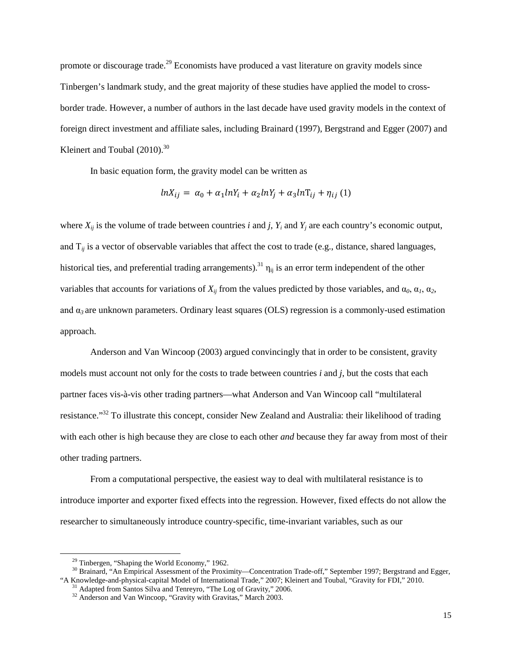promote or discourage trade.<sup>29</sup> Economists have produced a vast literature on gravity models since Tinbergen's landmark study, and the great majority of these studies have applied the model to crossborder trade. However, a number of authors in the last decade have used gravity models in the context of foreign direct investment and affiliate sales, including Brainard (1997), Bergstrand and Egger (2007) and Kleinert and Toubal  $(2010).^{30}$ 

In basic equation form, the gravity model can be written as

$$
lnX_{ij} = \alpha_0 + \alpha_1 lnY_i + \alpha_2 lnY_j + \alpha_3 lnT_{ij} + \eta_{ij} (1)
$$

where  $X_{ii}$  is the volume of trade between countries *i* and *j*,  $Y_i$  and  $Y_j$  are each country's economic output, and Τ*ij* is a vector of observable variables that affect the cost to trade (e.g., distance, shared languages, historical ties, and preferential trading arrangements).<sup>31</sup>  $\eta_{ij}$  is an error term independent of the other variables that accounts for variations of  $X_{ij}$  from the values predicted by those variables, and  $\alpha_0$ ,  $\alpha_1$ ,  $\alpha_2$ , and  $\alpha_3$  are unknown parameters. Ordinary least squares (OLS) regression is a commonly-used estimation approach.

Anderson and Van Wincoop (2003) argued convincingly that in order to be consistent, gravity models must account not only for the costs to trade between countries *i* and *j*, but the costs that each partner faces vis-à-vis other trading partners—what Anderson and Van Wincoop call "multilateral resistance."<sup>32</sup> To illustrate this concept, consider New Zealand and Australia: their likelihood of trading with each other is high because they are close to each other *and* because they far away from most of their other trading partners.

From a computational perspective, the easiest way to deal with multilateral resistance is to introduce importer and exporter fixed effects into the regression. However, fixed effects do not allow the researcher to simultaneously introduce country-specific, time-invariant variables, such as our

<sup>&</sup>lt;sup>29</sup> Tinbergen, "Shaping the World Economy," 1962.<br><sup>30</sup> Brainard, "An Empirical Assessment of the Proximity—Concentration Trade-off," September 1997; Bergstrand and Egger, "A Knowledge-and-physical-capital Model of International Trade," 2007; Kleinert and Toubal, "Gravity for FDI," 2010.<br><sup>31</sup> Adapted from Santos Silva and Tenreyro, "The Log of Gravity," 2006.<br><sup>32</sup> Anderson and Van Wincoop, "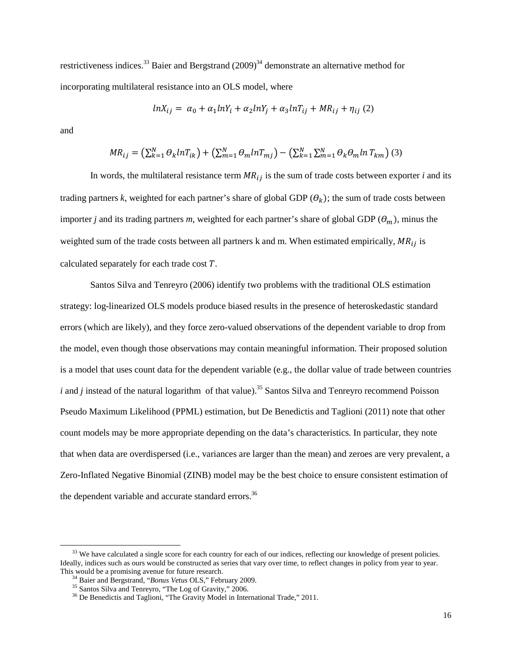restrictiveness indices.<sup>33</sup> Baier and Bergstrand  $(2009)^{34}$  demonstrate an alternative method for incorporating multilateral resistance into an OLS model, where

$$
lnX_{ij} = \alpha_0 + \alpha_1 lnY_i + \alpha_2 lnY_j + \alpha_3 lnT_{ij} + MR_{ij} + \eta_{ij} (2)
$$

and

$$
MR_{ij} = \left(\sum_{k=1}^{N} \theta_k ln T_{ik}\right) + \left(\sum_{m=1}^{N} \theta_m ln T_{mj}\right) - \left(\sum_{k=1}^{N} \sum_{m=1}^{N} \theta_k \theta_m ln T_{km}\right) (3)
$$

In words, the multilateral resistance term  $MR_{ij}$  is the sum of trade costs between exporter *i* and its trading partners *k*, weighted for each partner's share of global GDP  $(\theta_k)$ ; the sum of trade costs between importer *j* and its trading partners *m*, weighted for each partner's share of global GDP ( $\theta_m$ ), minus the weighted sum of the trade costs between all partners k and m. When estimated empirically,  $MR_{ij}$  is calculated separately for each trade cost  $T$ .

Santos Silva and Tenreyro (2006) identify two problems with the traditional OLS estimation strategy: log-linearized OLS models produce biased results in the presence of heteroskedastic standard errors (which are likely), and they force zero-valued observations of the dependent variable to drop from the model, even though those observations may contain meaningful information. Their proposed solution is a model that uses count data for the dependent variable (e.g., the dollar value of trade between countries *i* and *j* instead of the natural logarithm of that value).<sup>35</sup> Santos Silva and Tenreyro recommend Poisson Pseudo Maximum Likelihood (PPML) estimation, but De Benedictis and Taglioni (2011) note that other count models may be more appropriate depending on the data's characteristics. In particular, they note that when data are overdispersed (i.e., variances are larger than the mean) and zeroes are very prevalent, a Zero-Inflated Negative Binomial (ZINB) model may be the best choice to ensure consistent estimation of the dependent variable and accurate standard errors.<sup>36</sup>

<sup>&</sup>lt;sup>33</sup> We have calculated a single score for each country for each of our indices, reflecting our knowledge of present policies. Ideally, indices such as ours would be constructed as series that vary over time, to reflect changes in policy from year to year. This would be a promising avenue for future research.<br><sup>34</sup> Baier and Bergstrand, "*Bonus Vetus* OLS," February 2009.

<sup>&</sup>lt;sup>35</sup> Santos Silva and Tenreyro, "The Log of Gravity," 2006.<br><sup>36</sup> De Benedictis and Taglioni, "The Gravity Model in International Trade," 2011.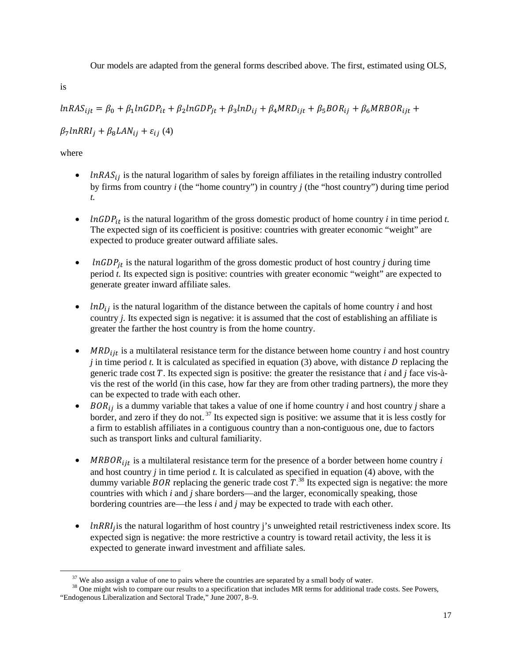Our models are adapted from the general forms described above. The first, estimated using OLS,

is

 $lnRAS_{ijt} = \beta_0 + \beta_1 lnGDP_{it} + \beta_2 lnGDP_{it} + \beta_3 lnD_{ij} + \beta_4 MRD_{ijt} + \beta_5 BOR_{ij} + \beta_6 MRBOR_{ijt} +$ 

 $\beta_7$ lnRRI<sub>i</sub> +  $\beta_8$ LAN<sub>ii</sub> +  $\varepsilon_{ii}$  (4)

where

- $lnRAS_{ij}$  is the natural logarithm of sales by foreign affiliates in the retailing industry controlled by firms from country *i* (the "home country") in country *j* (the "host country") during time period *t.*
- $ln GDP_{it}$  is the natural logarithm of the gross domestic product of home country *i* in time period *t*. The expected sign of its coefficient is positive: countries with greater economic "weight" are expected to produce greater outward affiliate sales.
- $ln GDP_{it}$  is the natural logarithm of the gross domestic product of host country *j* during time period *t.* Its expected sign is positive: countries with greater economic "weight" are expected to generate greater inward affiliate sales.
- $ln D_{ij}$  is the natural logarithm of the distance between the capitals of home country *i* and host country *j.* Its expected sign is negative: it is assumed that the cost of establishing an affiliate is greater the farther the host country is from the home country.
- $MRD_{i}$  is a multilateral resistance term for the distance between home country *i* and host country  $j$  in time period  $t$ . It is calculated as specified in equation (3) above, with distance  $D$  replacing the generic trade cost  $T$ . Its expected sign is positive: the greater the resistance that  $i$  and  $j$  face vis-àvis the rest of the world (in this case, how far they are from other trading partners), the more they can be expected to trade with each other.
- $BOR_{ij}$  is a dummy variable that takes a value of one if home country *i* and host country *j* share a border, and zero if they do not.<sup>37</sup> Its expected sign is positive: we assume that it is less costly for a firm to establish affiliates in a contiguous country than a non-contiguous one, due to factors such as transport links and cultural familiarity.
- $MRBOR<sub>ijt</sub>$  is a multilateral resistance term for the presence of a border between home country *i* and host country *j* in time period *t.* It is calculated as specified in equation (4) above, with the dummy variable *BOR* replacing the generic trade cost  $T^{38}$ . Its expected sign is negative: the more countries with which *i* and *j* share borders—and the larger, economically speaking, those bordering countries are—the less *i* and *j* may be expected to trade with each other.
- $In RRI<sub>i</sub>$  is the natural logarithm of host country j's unweighted retail restrictiveness index score. Its expected sign is negative: the more restrictive a country is toward retail activity, the less it is expected to generate inward investment and affiliate sales.

 $37$  We also assign a value of one to pairs where the countries are separated by a small body of water.<br> $38$  One might wish to compare our results to a specification that includes MR terms for additional trade costs. See "Endogenous Liberalization and Sectoral Trade," June 2007, 8–9.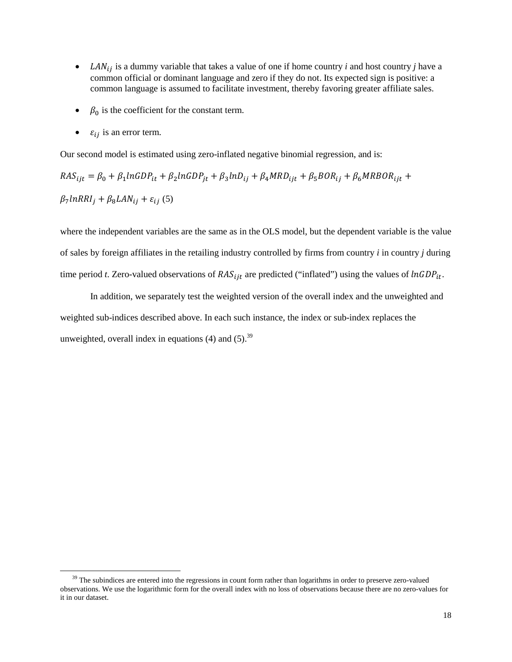- *LAN* $_{ij}$  is a dummy variable that takes a value of one if home country *i* and host country *j* have a common official or dominant language and zero if they do not. Its expected sign is positive: a common language is assumed to facilitate investment, thereby favoring greater affiliate sales.
- $\beta_0$  is the coefficient for the constant term.
- $\varepsilon_{ij}$  is an error term.

Our second model is estimated using zero-inflated negative binomial regression, and is:

$$
RAS_{ijt} = \beta_0 + \beta_1 ln GDP_{it} + \beta_2 ln GDP_{jt} + \beta_3 ln D_{ij} + \beta_4 MRD_{ijt} + \beta_5 BOR_{ij} + \beta_6 MRBOR_{ijt} + \beta_7 ln RRI_j + \beta_8 LAN_{ij} + \varepsilon_{ij} (5)
$$

where the independent variables are the same as in the OLS model, but the dependent variable is the value of sales by foreign affiliates in the retailing industry controlled by firms from country *i* in country *j* during time period *t*. Zero-valued observations of  $RAS_{ijt}$  are predicted ("inflated") using the values of  $ln GDP_{it}$ .

In addition, we separately test the weighted version of the overall index and the unweighted and weighted sub-indices described above. In each such instance, the index or sub-index replaces the unweighted, overall index in equations (4) and  $(5)$ .<sup>39</sup>

 $39$  The subindices are entered into the regressions in count form rather than logarithms in order to preserve zero-valued observations. We use the logarithmic form for the overall index with no loss of observations because there are no zero-values for it in our dataset.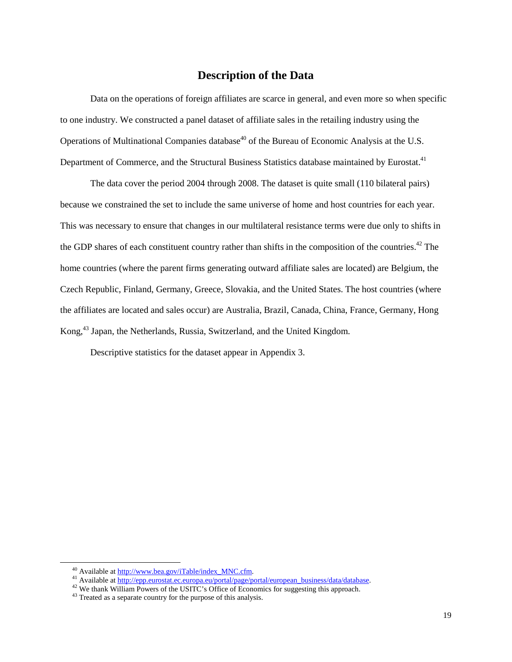### **Description of the Data**

Data on the operations of foreign affiliates are scarce in general, and even more so when specific to one industry. We constructed a panel dataset of affiliate sales in the retailing industry using the Operations of Multinational Companies database<sup>40</sup> of the Bureau of Economic Analysis at the U.S. Department of Commerce, and the Structural Business Statistics database maintained by Eurostat.<sup>41</sup>

The data cover the period 2004 through 2008. The dataset is quite small (110 bilateral pairs) because we constrained the set to include the same universe of home and host countries for each year. This was necessary to ensure that changes in our multilateral resistance terms were due only to shifts in the GDP shares of each constituent country rather than shifts in the composition of the countries.<sup>42</sup> The home countries (where the parent firms generating outward affiliate sales are located) are Belgium, the Czech Republic, Finland, Germany, Greece, Slovakia, and the United States. The host countries (where the affiliates are located and sales occur) are Australia, Brazil, Canada, China, France, Germany, Hong Kong,<sup>43</sup> Japan, the Netherlands, Russia, Switzerland, and the United Kingdom.

Descriptive statistics for the dataset appear in Appendix 3.

<sup>&</sup>lt;sup>40</sup> Available at <u>http://www.bea.gov/iTable/index\_MNC.cfm</u>.<br><sup>41</sup> Available at <u>http://epp.eurostat.ec.europa.eu/portal/page/portal/european\_business/data/database.<br><sup>42</sup> We thank William Powers of the USITC's Office of Ec</u>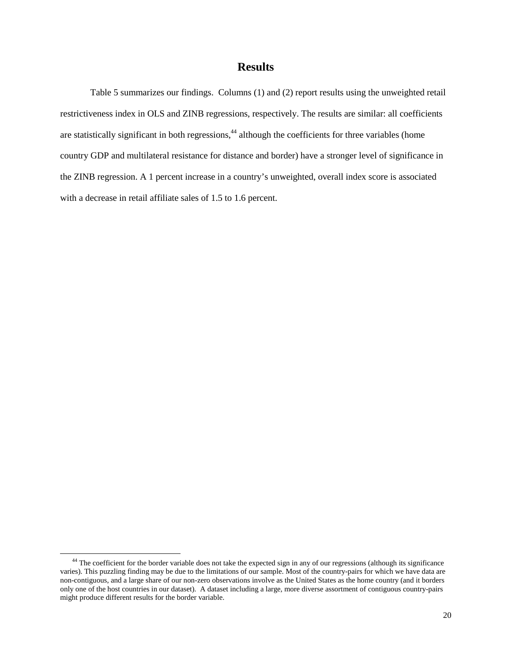### **Results**

Table 5 summarizes our findings. Columns (1) and (2) report results using the unweighted retail restrictiveness index in OLS and ZINB regressions, respectively. The results are similar: all coefficients are statistically significant in both regressions,<sup>44</sup> although the coefficients for three variables (home country GDP and multilateral resistance for distance and border) have a stronger level of significance in the ZINB regression. A 1 percent increase in a country's unweighted, overall index score is associated with a decrease in retail affiliate sales of 1.5 to 1.6 percent.

<sup>&</sup>lt;sup>44</sup> The coefficient for the border variable does not take the expected sign in any of our regressions (although its significance varies). This puzzling finding may be due to the limitations of our sample. Most of the country-pairs for which we have data are non-contiguous, and a large share of our non-zero observations involve as the United States as the home country (and it borders only one of the host countries in our dataset). A dataset including a large, more diverse assortment of contiguous country-pairs might produce different results for the border variable.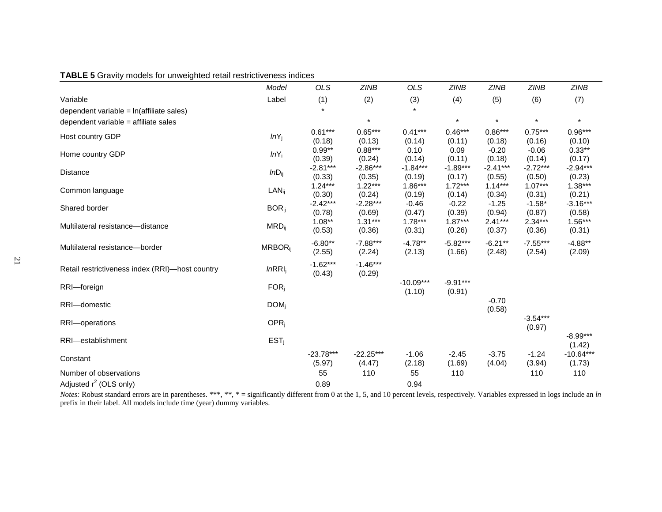| <b>TABLE 5</b> Gravity models for unweighted retail restrictiveness indices |  |  |
|-----------------------------------------------------------------------------|--|--|
|-----------------------------------------------------------------------------|--|--|

| $\sim$ 0.0.1.1, models for all noights a follow results for subset | Model                      | <b>OLS</b>            | <b>ZINB</b>           | <b>OLS</b>            | <b>ZINB</b>          | <b>ZINB</b>          | <b>ZINB</b>          | <b>ZINB</b>           |
|--------------------------------------------------------------------|----------------------------|-----------------------|-----------------------|-----------------------|----------------------|----------------------|----------------------|-----------------------|
| Variable                                                           | Label                      | (1)                   | (2)                   | (3)                   | (4)                  | (5)                  | (6)                  | (7)                   |
| dependent variable = ln(affiliate sales)                           |                            | $\star$               |                       |                       |                      |                      |                      |                       |
| dependent variable = affiliate sales                               |                            |                       | $\star$               |                       | $\star$              | $\star$              | $\star$              | $\star$               |
| Host country GDP                                                   | $lnY_j$                    | $0.61***$<br>(0.18)   | $0.65***$<br>(0.13)   | $0.41***$<br>(0.14)   | $0.46***$<br>(0.11)  | $0.86***$<br>(0.18)  | $0.75***$<br>(0.16)  | $0.96***$<br>(0.10)   |
| Home country GDP                                                   | $lnY_i$                    | $0.99**$<br>(0.39)    | $0.88***$<br>(0.24)   | 0.10<br>(0.14)        | 0.09<br>(0.11)       | $-0.20$<br>(0.18)    | $-0.06$<br>(0.14)    | $0.33**$<br>(0.17)    |
| <b>Distance</b>                                                    | $lnD_{ij}$                 | $-2.81***$<br>(0.33)  | $-2.86***$<br>(0.35)  | $-1.84***$<br>(0.19)  | $-1.89***$<br>(0.17) | $-2.41***$<br>(0.55) | $-2.72***$<br>(0.50) | $-2.94***$<br>(0.23)  |
| Common language                                                    | $LAN_{ii}$                 | $1.24***$<br>(0.30)   | $1.22***$<br>(0.24)   | $1.86***$<br>(0.19)   | $1.72***$<br>(0.14)  | $1.14***$<br>(0.34)  | $1.07***$<br>(0.31)  | $1.38***$<br>(0.21)   |
| Shared border                                                      | $BOR_{ii}$                 | $-2.42***$<br>(0.78)  | $-2.28***$<br>(0.69)  | $-0.46$<br>(0.47)     | $-0.22$<br>(0.39)    | $-1.25$<br>(0.94)    | $-1.58*$<br>(0.87)   | $-3.16***$<br>(0.58)  |
| Multilateral resistance-distance                                   | $MRD_{ij}$                 | $1.08**$<br>(0.53)    | $1.31***$<br>(0.36)   | $1.78***$<br>(0.31)   | $1.87***$<br>(0.26)  | $2.41***$<br>(0.37)  | $2.34***$<br>(0.36)  | $1.56***$<br>(0.31)   |
| Multilateral resistance-border                                     | <b>MRBOR</b> <sub>ii</sub> | $-6.80**$<br>(2.55)   | $-7.88***$<br>(2.24)  | $-4.78**$<br>(2.13)   | $-5.82***$<br>(1.66) | $-6.21***$<br>(2.48) | $-7.55***$<br>(2.54) | $-4.88**$<br>(2.09)   |
| Retail restrictiveness index (RRI)-host country                    | InRRI <sub>i</sub>         | $-1.62***$<br>(0.43)  | $-1.46***$<br>(0.29)  |                       |                      |                      |                      |                       |
| RRI-foreign                                                        | $FOR_i$                    |                       |                       | $-10.09***$<br>(1.10) | $-9.91***$<br>(0.91) |                      |                      |                       |
| RRI-domestic                                                       | $DOM_i$                    |                       |                       |                       |                      | $-0.70$<br>(0.58)    |                      |                       |
| RRI-operations                                                     | $OPR_i$                    |                       |                       |                       |                      |                      | $-3.54***$<br>(0.97) |                       |
| RRI-establishment                                                  | EST <sub>i</sub>           |                       |                       |                       |                      |                      |                      | $-8.99***$<br>(1.42)  |
| Constant                                                           |                            | $-23.78***$<br>(5.97) | $-22.25***$<br>(4.47) | $-1.06$<br>(2.18)     | $-2.45$<br>(1.69)    | $-3.75$<br>(4.04)    | $-1.24$<br>(3.94)    | $-10.64***$<br>(1.73) |
| Number of observations                                             |                            | 55                    | 110                   | 55                    | 110                  |                      | 110                  | 110                   |
| Adjusted $r^2$ (OLS only)                                          |                            | 0.89                  |                       | 0.94                  |                      |                      |                      |                       |

*Notes:* Robust standard errors are in parentheses. \*\*\*, \*\*, \* = significantly different from 0 at the 1, 5, and 10 percent levels, respectively. Variables expressed in logs include an *ln* prefix in their label. All models include time (year) dummy variables.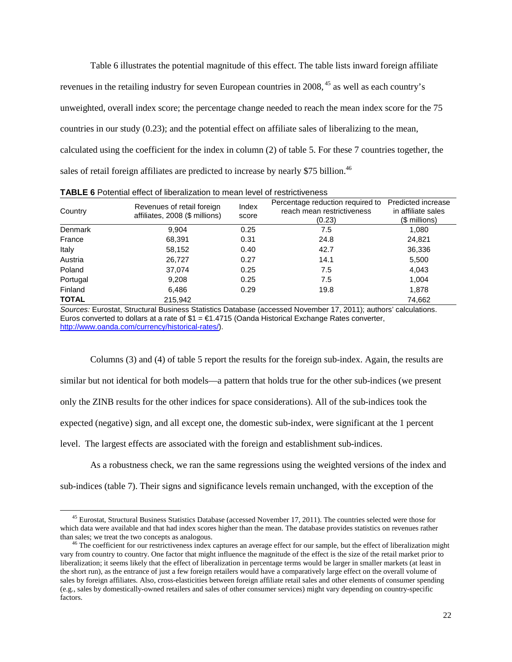Table 6 illustrates the potential magnitude of this effect. The table lists inward foreign affiliate revenues in the retailing industry for seven European countries in 2008, <sup>45</sup> as well as each country's unweighted, overall index score; the percentage change needed to reach the mean index score for the 75 countries in our study (0.23); and the potential effect on affiliate sales of liberalizing to the mean, calculated using the coefficient for the index in column (2) of table 5. For these 7 countries together, the sales of retail foreign affiliates are predicted to increase by nearly \$75 billion.<sup>46</sup>

| Country        | Revenues of retail foreign<br>affiliates, 2008 (\$ millions) | Index<br>score | Percentage reduction required to<br>reach mean restrictiveness<br>(0.23) | Predicted increase<br>in affiliate sales<br>(\$ millions) |
|----------------|--------------------------------------------------------------|----------------|--------------------------------------------------------------------------|-----------------------------------------------------------|
| <b>Denmark</b> | 9.904                                                        | 0.25           | 7.5                                                                      | 1,080                                                     |
| France         | 68,391                                                       | 0.31           | 24.8                                                                     | 24,821                                                    |
| Italy          | 58,152                                                       | 0.40           | 42.7                                                                     | 36,336                                                    |
| Austria        | 26,727                                                       | 0.27           | 14.1                                                                     | 5,500                                                     |
| Poland         | 37,074                                                       | 0.25           | 7.5                                                                      | 4,043                                                     |
| Portugal       | 9,208                                                        | 0.25           | 7.5                                                                      | 1,004                                                     |
| Finland        | 6,486                                                        | 0.29           | 19.8                                                                     | 1,878                                                     |
| <b>TOTAL</b>   | 215,942                                                      |                |                                                                          | 74,662                                                    |

**TABLE 6** Potential effect of liberalization to mean level of restrictiveness

*Sources:* Eurostat, Structural Business Statistics Database (accessed November 17, 2011); authors' calculations. Euros converted to dollars at a rate of \$1 = €1.4715 (Oanda Historical Exchange Rates converter, [http://www.oanda.com/currency/historical-rates/\)](http://www.oanda.com/currency/historical-rates/).

Columns (3) and (4) of table 5 report the results for the foreign sub-index. Again, the results are similar but not identical for both models—a pattern that holds true for the other sub-indices (we present only the ZINB results for the other indices for space considerations). All of the sub-indices took the expected (negative) sign, and all except one, the domestic sub-index, were significant at the 1 percent level. The largest effects are associated with the foreign and establishment sub-indices.

As a robustness check, we ran the same regressions using the weighted versions of the index and sub-indices (table 7). Their signs and significance levels remain unchanged, with the exception of the

<sup>&</sup>lt;sup>45</sup> Eurostat, Structural Business Statistics Database (accessed November 17, 2011). The countries selected were those for which data were available and that had index scores higher than the mean. The database provides statistics on revenues rather than sales; we treat the two concepts as analogous.

<sup>&</sup>lt;sup>46</sup> The coefficient for our restrictiveness index captures an average effect for our sample, but the effect of liberalization might vary from country to country. One factor that might influence the magnitude of the effect is the size of the retail market prior to liberalization; it seems likely that the effect of liberalization in percentage terms would be larger in smaller markets (at least in the short run), as the entrance of just a few foreign retailers would have a comparatively large effect on the overall volume of sales by foreign affiliates. Also, cross-elasticities between foreign affiliate retail sales and other elements of consumer spending (e.g., sales by domestically-owned retailers and sales of other consumer services) might vary depending on country-specific factors.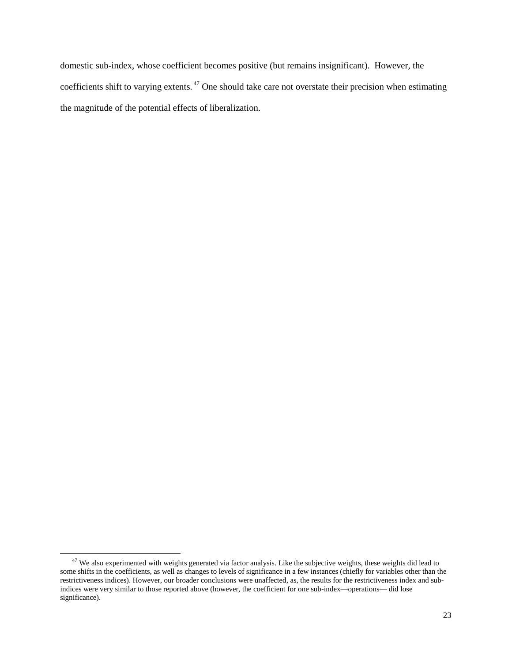domestic sub-index, whose coefficient becomes positive (but remains insignificant). However, the coefficients shift to varying extents. <sup>47</sup> One should take care not overstate their precision when estimating the magnitude of the potential effects of liberalization.

 $47$  We also experimented with weights generated via factor analysis. Like the subjective weights, these weights did lead to some shifts in the coefficients, as well as changes to levels of significance in a few instances (chiefly for variables other than the restrictiveness indices). However, our broader conclusions were unaffected, as, the results for the restrictiveness index and subindices were very similar to those reported above (however, the coefficient for one sub-index—operations— did lose significance).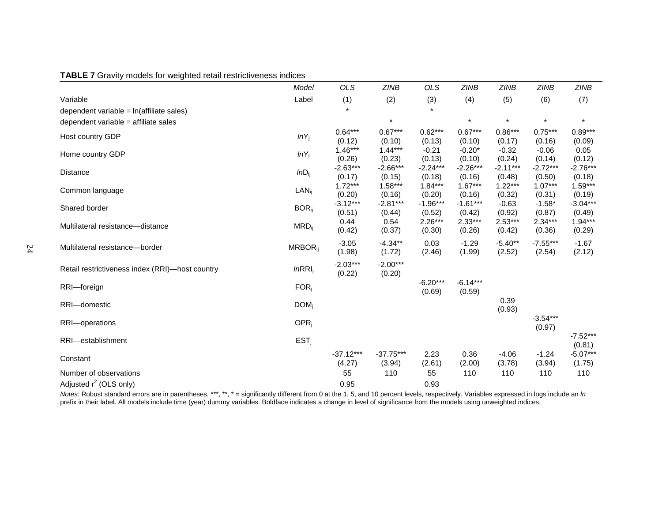|                                                 | Model                      | <b>OLS</b>            | <b>ZINB</b>           | <b>OLS</b>           | <b>ZINB</b>          | <b>ZINB</b>          | <b>ZINB</b>          | <b>ZINB</b>          |
|-------------------------------------------------|----------------------------|-----------------------|-----------------------|----------------------|----------------------|----------------------|----------------------|----------------------|
| Variable                                        | Label                      | (1)                   | (2)                   | (3)                  | (4)                  | (5)                  | (6)                  | (7)                  |
| dependent variable = ln(affiliate sales)        |                            |                       |                       |                      |                      |                      |                      |                      |
| dependent variable = affiliate sales            |                            |                       | $\star$               |                      | $\star$              | $\star$              | $\star$              | $\star$              |
| Host country GDP                                | $lnY_j$                    | $0.64***$<br>(0.12)   | $0.67***$<br>(0.10)   | $0.62***$<br>(0.13)  | $0.67***$<br>(0.10)  | $0.86***$<br>(0.17)  | $0.75***$<br>(0.16)  | $0.89***$<br>(0.09)  |
| Home country GDP                                | $lnY_i$                    | $1.46***$<br>(0.26)   | $1.44***$<br>(0.23)   | $-0.21$<br>(0.13)    | $-0.20*$<br>(0.10)   | $-0.32$<br>(0.24)    | $-0.06$<br>(0.14)    | 0.05<br>(0.12)       |
| <b>Distance</b>                                 | $lnD_{ij}$                 | $-2.63***$<br>(0.17)  | $-2.66***$<br>(0.15)  | $-2.24***$<br>(0.18) | $-2.26***$<br>(0.16) | $-2.11***$<br>(0.48) | $-2.72***$<br>(0.50) | $-2.76***$<br>(0.18) |
| Common language                                 | $LAN_{ii}$                 | $1.72***$<br>(0.20)   | $1.58***$<br>(0.16)   | $1.84***$<br>(0.20)  | $1.67***$<br>(0.16)  | $1.22***$<br>(0.32)  | $1.07***$<br>(0.31)  | $1.59***$<br>(0.19)  |
| Shared border                                   | $BOR_{ii}$                 | $-3.12***$<br>(0.51)  | $-2.81***$<br>(0.44)  | $-1.96***$<br>(0.52) | $-1.61***$<br>(0.42) | $-0.63$<br>(0.92)    | $-1.58*$<br>(0.87)   | $-3.04***$<br>(0.49) |
| Multilateral resistance-distance                | $MRD_{ij}$                 | 0.44<br>(0.42)        | 0.54<br>(0.37)        | $2.26***$<br>(0.30)  | $2.33***$<br>(0.26)  | $2.53***$<br>(0.42)  | $2.34***$<br>(0.36)  | $1.94***$<br>(0.29)  |
| Multilateral resistance-border                  | <b>MRBOR</b> <sub>ii</sub> | $-3.05$<br>(1.98)     | $-4.34**$<br>(1.72)   | 0.03<br>(2.46)       | $-1.29$<br>(1.99)    | $-5.40**$<br>(2.52)  | $-7.55***$<br>(2.54) | $-1.67$<br>(2.12)    |
| Retail restrictiveness index (RRI)-host country | InRRI <sub>i</sub>         | $-2.03***$<br>(0.22)  | $-2.00***$<br>(0.20)  |                      |                      |                      |                      |                      |
| RRI-foreign                                     | $FOR_i$                    |                       |                       | $-6.20***$<br>(0.69) | $-6.14***$<br>(0.59) |                      |                      |                      |
| RRI-domestic                                    | $DOM_i$                    |                       |                       |                      |                      | 0.39<br>(0.93)       |                      |                      |
| RRI-operations                                  | OPR <sub>i</sub>           |                       |                       |                      |                      |                      | $-3.54***$<br>(0.97) |                      |
| RRI-establishment                               | EST <sub>i</sub>           |                       |                       |                      |                      |                      |                      | $-7.52***$<br>(0.81) |
| Constant                                        |                            | $-37.12***$<br>(4.27) | $-37.75***$<br>(3.94) | 2.23<br>(2.61)       | 0.36<br>(2.00)       | $-4.06$<br>(3.78)    | $-1.24$<br>(3.94)    | $-5.07***$<br>(1.75) |
| Number of observations                          |                            | 55                    | 110                   | 55                   | 110                  | 110                  | 110                  | 110                  |
| Adjusted $r^2$ (OLS only)                       |                            | 0.95                  |                       | 0.93                 |                      |                      |                      |                      |

*Notes:* Robust standard errors are in parentheses. \*\*\*, \*\*, \* = significantly different from 0 at the 1, 5, and 10 percent levels, respectively. Variables expressed in logs include an *ln* prefix in their label. All models include time (year) dummy variables. Boldface indicates a change in level of significance from the models using unweighted indices.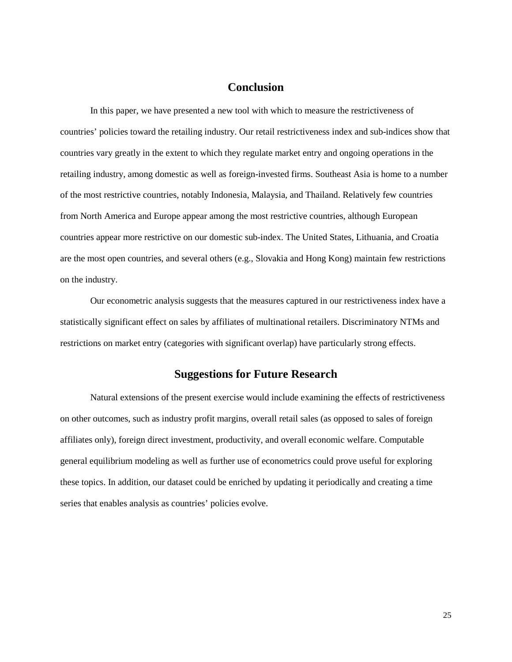#### **Conclusion**

In this paper, we have presented a new tool with which to measure the restrictiveness of countries' policies toward the retailing industry. Our retail restrictiveness index and sub-indices show that countries vary greatly in the extent to which they regulate market entry and ongoing operations in the retailing industry, among domestic as well as foreign-invested firms. Southeast Asia is home to a number of the most restrictive countries, notably Indonesia, Malaysia, and Thailand. Relatively few countries from North America and Europe appear among the most restrictive countries, although European countries appear more restrictive on our domestic sub-index. The United States, Lithuania, and Croatia are the most open countries, and several others (e.g., Slovakia and Hong Kong) maintain few restrictions on the industry.

Our econometric analysis suggests that the measures captured in our restrictiveness index have a statistically significant effect on sales by affiliates of multinational retailers. Discriminatory NTMs and restrictions on market entry (categories with significant overlap) have particularly strong effects.

### **Suggestions for Future Research**

Natural extensions of the present exercise would include examining the effects of restrictiveness on other outcomes, such as industry profit margins, overall retail sales (as opposed to sales of foreign affiliates only), foreign direct investment, productivity, and overall economic welfare. Computable general equilibrium modeling as well as further use of econometrics could prove useful for exploring these topics. In addition, our dataset could be enriched by updating it periodically and creating a time series that enables analysis as countries' policies evolve.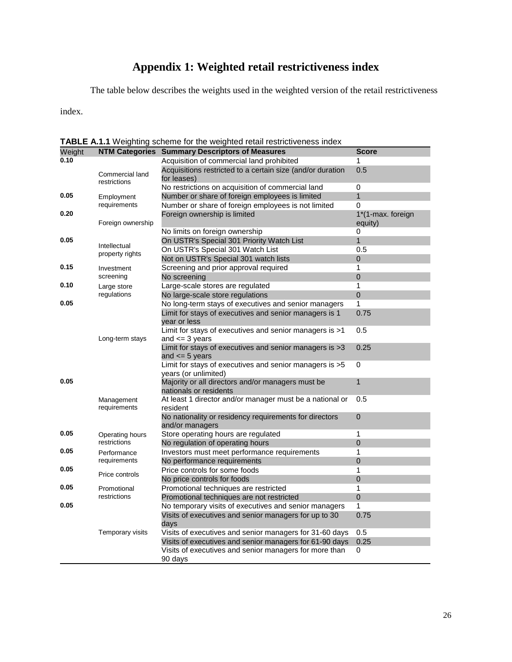# **Appendix 1: Weighted retail restrictiveness index**

The table below describes the weights used in the weighted version of the retail restrictiveness

index.

| Weight             | <b>NTM Categories</b>           | <b>I ADLE A.I.I</b> Weighting Scrieme for the weighted retail restrictiveness index<br><b>Summary Descriptors of Measures</b> | <b>Score</b>      |
|--------------------|---------------------------------|-------------------------------------------------------------------------------------------------------------------------------|-------------------|
| 0.10               |                                 | Acquisition of commercial land prohibited                                                                                     | 1                 |
|                    |                                 | Acquisitions restricted to a certain size (and/or duration                                                                    | 0.5               |
|                    | Commercial land<br>restrictions | for leases)                                                                                                                   |                   |
|                    |                                 | No restrictions on acquisition of commercial land                                                                             | 0                 |
| 0.05<br>Employment |                                 | Number or share of foreign employees is limited                                                                               | $\mathbf{1}$      |
|                    | requirements                    | Number or share of foreign employees is not limited                                                                           | 0                 |
| 0.20               |                                 | Foreign ownership is limited                                                                                                  | 1*(1-max. foreign |
|                    | Foreign ownership               |                                                                                                                               | equity)           |
|                    |                                 | No limits on foreign ownership                                                                                                | 0                 |
| 0.05               | Intellectual                    | On USTR's Special 301 Priority Watch List                                                                                     | $\mathbf{1}$      |
|                    | property rights                 | On USTR's Special 301 Watch List                                                                                              | 0.5               |
|                    |                                 | Not on USTR's Special 301 watch lists                                                                                         | 0                 |
| 0.15               | Investment                      | Screening and prior approval required                                                                                         | 1                 |
|                    | screening                       | No screening                                                                                                                  | $\overline{0}$    |
| 0.10               | Large store                     | Large-scale stores are regulated                                                                                              | 1                 |
|                    | regulations                     | No large-scale store regulations                                                                                              | $\mathbf 0$       |
| 0.05               |                                 | No long-term stays of executives and senior managers                                                                          | 1                 |
|                    |                                 | Limit for stays of executives and senior managers is 1                                                                        | 0.75              |
|                    |                                 | year or less                                                                                                                  |                   |
|                    |                                 | Limit for stays of executives and senior managers is >1                                                                       | 0.5               |
|                    | Long-term stays                 | and $\leq$ 3 years<br>Limit for stays of executives and senior managers is >3                                                 | 0.25              |
|                    |                                 | and $\leq$ 5 years                                                                                                            |                   |
|                    |                                 | Limit for stays of executives and senior managers is >5                                                                       | 0                 |
|                    |                                 | years (or unlimited)                                                                                                          |                   |
| 0.05               |                                 | Majority or all directors and/or managers must be                                                                             | $\mathbf{1}$      |
|                    |                                 | nationals or residents                                                                                                        |                   |
|                    | Management<br>requirements      | At least 1 director and/or manager must be a national or                                                                      | 0.5               |
|                    |                                 | resident                                                                                                                      |                   |
|                    |                                 | No nationality or residency requirements for directors                                                                        | 0                 |
| 0.05               |                                 | and/or managers<br>Store operating hours are regulated                                                                        | 1                 |
|                    | Operating hours<br>restrictions | No regulation of operating hours                                                                                              | 0                 |
| 0.05               |                                 | Investors must meet performance requirements                                                                                  | 1                 |
|                    | Performance<br>requirements     | No performance requirements                                                                                                   | 0                 |
| 0.05               |                                 | Price controls for some foods                                                                                                 | 1                 |
|                    | Price controls                  | No price controls for foods                                                                                                   | $\overline{0}$    |
| 0.05               | Promotional                     | Promotional techniques are restricted                                                                                         | 1                 |
|                    | restrictions                    | Promotional techniques are not restricted                                                                                     | $\mathbf 0$       |
| 0.05               |                                 | No temporary visits of executives and senior managers                                                                         | 1                 |
|                    |                                 | Visits of executives and senior managers for up to 30                                                                         | 0.75              |
|                    |                                 | days                                                                                                                          |                   |
|                    | Temporary visits                | Visits of executives and senior managers for 31-60 days                                                                       | 0.5               |
|                    |                                 | Visits of executives and senior managers for 61-90 days                                                                       | 0.25              |
|                    |                                 | Visits of executives and senior managers for more than                                                                        | 0                 |
|                    |                                 | 90 days                                                                                                                       |                   |

**TABLE A.1.1** Weighting scheme for the weighted retail restrictiveness index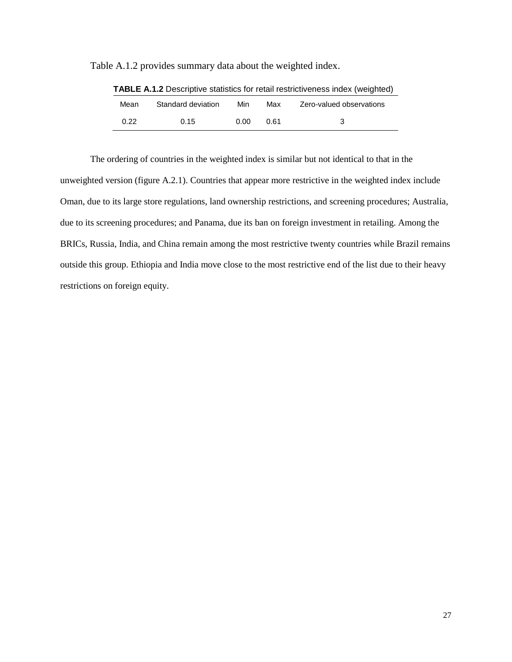| <b>I ABLE A.1.2</b> Descriptive statistics for retail restrictiveness index (weighted) |                    |      |      |                          |  |
|----------------------------------------------------------------------------------------|--------------------|------|------|--------------------------|--|
| Mean                                                                                   | Standard deviation | Min  | Max  | Zero-valued observations |  |
| 0.22                                                                                   | 0.15               | n nn | በ 61 | 3                        |  |

Table A.1.2 provides summary data about the weighted index.

**TABLE A.1.2** Descriptive statistics for retail restrictiveness index (weighted)

The ordering of countries in the weighted index is similar but not identical to that in the unweighted version (figure A.2.1). Countries that appear more restrictive in the weighted index include Oman, due to its large store regulations, land ownership restrictions, and screening procedures; Australia, due to its screening procedures; and Panama, due its ban on foreign investment in retailing. Among the BRICs, Russia, India, and China remain among the most restrictive twenty countries while Brazil remains outside this group. Ethiopia and India move close to the most restrictive end of the list due to their heavy restrictions on foreign equity.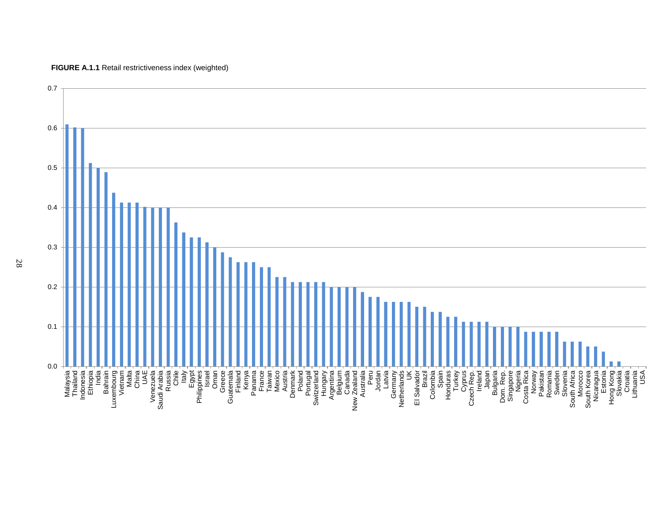

**FIGURE A.1.1** Retail restrictiveness index (weighted)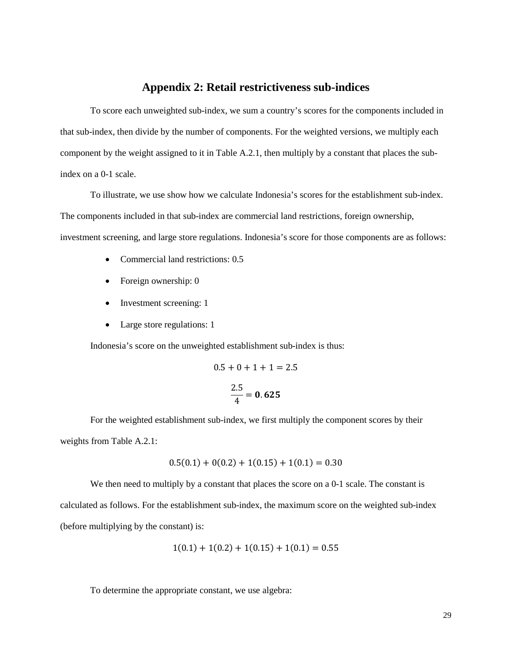#### **Appendix 2: Retail restrictiveness sub-indices**

To score each unweighted sub-index, we sum a country's scores for the components included in that sub-index, then divide by the number of components. For the weighted versions, we multiply each component by the weight assigned to it in Table A.2.1, then multiply by a constant that places the subindex on a 0-1 scale.

To illustrate, we use show how we calculate Indonesia's scores for the establishment sub-index. The components included in that sub-index are commercial land restrictions, foreign ownership, investment screening, and large store regulations. Indonesia's score for those components are as follows:

- Commercial land restrictions: 0.5
- Foreign ownership: 0
- Investment screening: 1
- Large store regulations: 1

Indonesia's score on the unweighted establishment sub-index is thus:

$$
0.5 + 0 + 1 + 1 = 2.5
$$

$$
\frac{2.5}{4} = 0.625
$$

For the weighted establishment sub-index, we first multiply the component scores by their weights from Table A.2.1:

$$
0.5(0.1) + 0(0.2) + 1(0.15) + 1(0.1) = 0.30
$$

We then need to multiply by a constant that places the score on a 0-1 scale. The constant is calculated as follows. For the establishment sub-index, the maximum score on the weighted sub-index (before multiplying by the constant) is:

$$
1(0.1) + 1(0.2) + 1(0.15) + 1(0.1) = 0.55
$$

To determine the appropriate constant, we use algebra: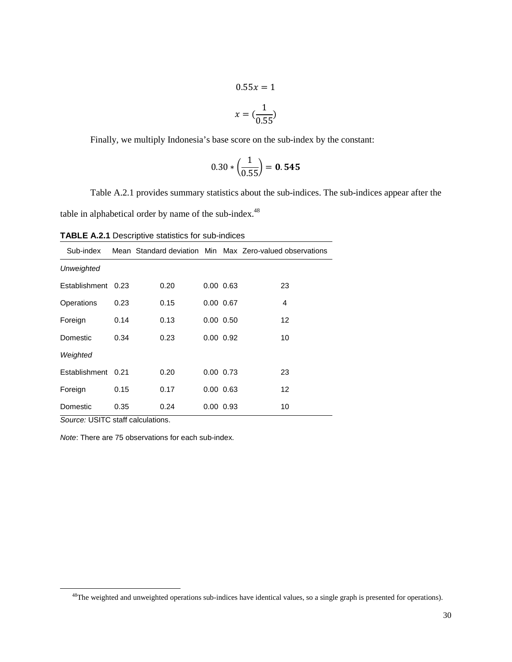$$
0.55x = 1
$$

$$
x = \left(\frac{1}{0.55}\right)
$$

Finally, we multiply Indonesia's base score on the sub-index by the constant:

$$
0.30 * \left(\frac{1}{0.55}\right) = 0.545
$$

Table A.2.1 provides summary statistics about the sub-indices. The sub-indices appear after the table in alphabetical order by name of the sub-index.<sup>48</sup>

| <b>TABLE A.2.1 Descriptive statistics for sub-indices</b> |  |  |  |
|-----------------------------------------------------------|--|--|--|
|-----------------------------------------------------------|--|--|--|

| Sub-index     |      |      |                   | Mean Standard deviation Min Max Zero-valued observations |
|---------------|------|------|-------------------|----------------------------------------------------------|
| Unweighted    |      |      |                   |                                                          |
| Establishment | 0.23 | 0.20 | $0.00 \quad 0.63$ | 23                                                       |
| Operations    | 0.23 | 0.15 | $0.00 \quad 0.67$ | 4                                                        |
| Foreign       | 0.14 | 0.13 | $0.00\ 0.50$      | $12 \overline{ }$                                        |
| Domestic      | 0.34 | 0.23 | $0.00\ 0.92$      | 10                                                       |
| Weighted      |      |      |                   |                                                          |
| Establishment | 0.21 | 0.20 | $0.00\quad 0.73$  | 23                                                       |
| Foreign       | 0.15 | 0.17 | $0.00$ $0.63$     | $12 \overline{ }$                                        |
| Domestic      | 0.35 | 0.24 | $0.00 \quad 0.93$ | 10                                                       |

*Source:* USITC staff calculations.

*Note*: There are 75 observations for each sub-index.

<sup>&</sup>lt;sup>48</sup>The weighted and unweighted operations sub-indices have identical values, so a single graph is presented for operations).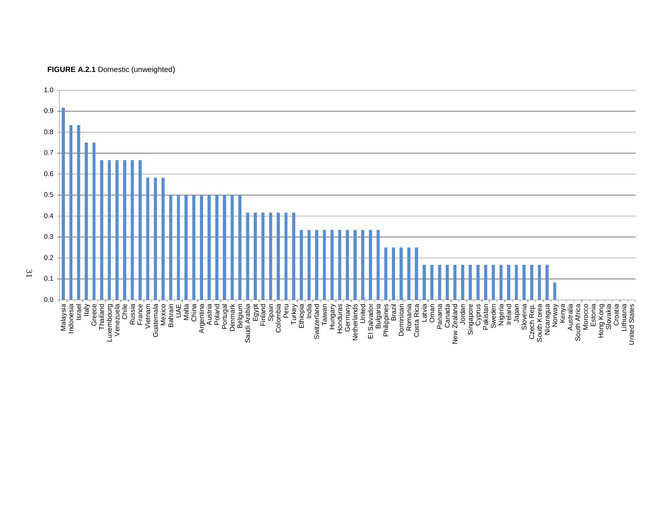

#### **FIGURE A.2.1** Domestic (unweighted)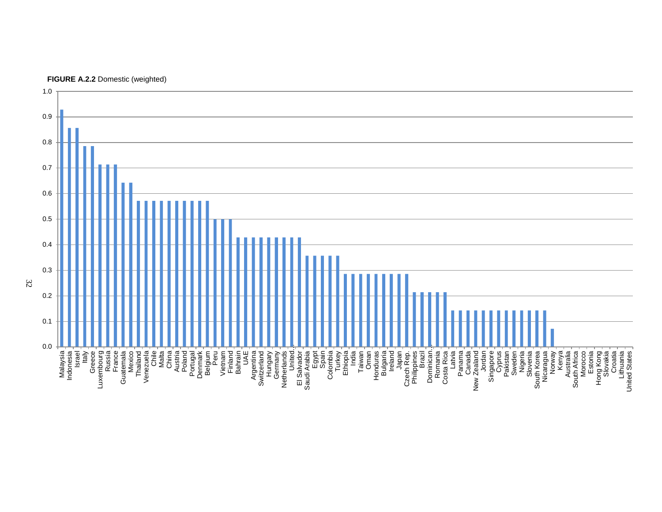

**FIGURE A.2.2** Domestic (weighted)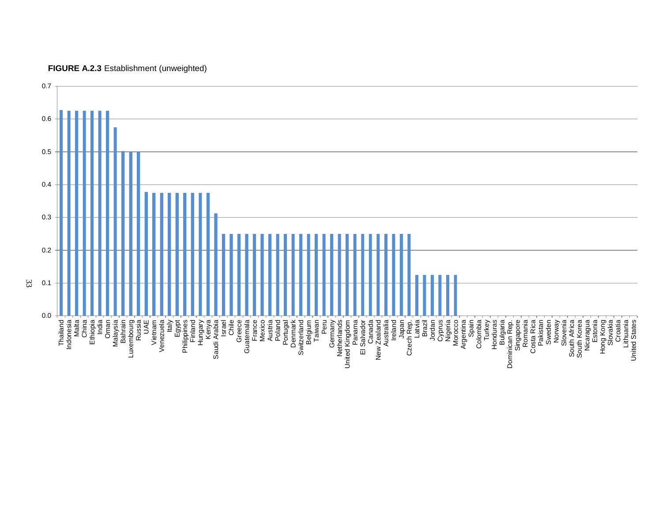

**FIGURE A.2.3** Establishment (unweighted)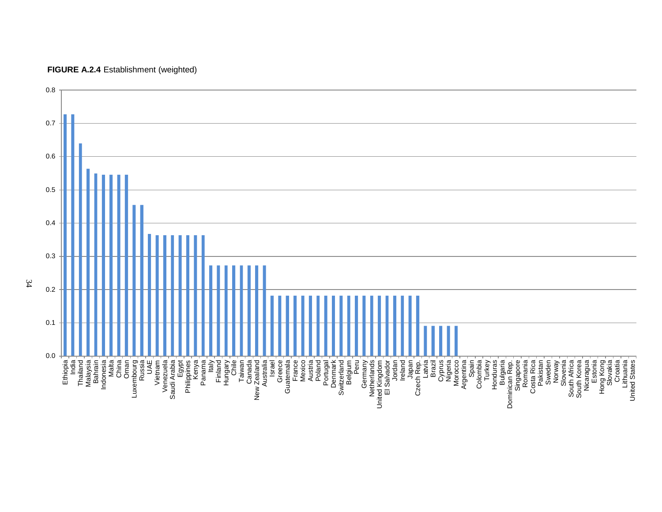

#### **FIGURE A.2.4** Establishment (weighted)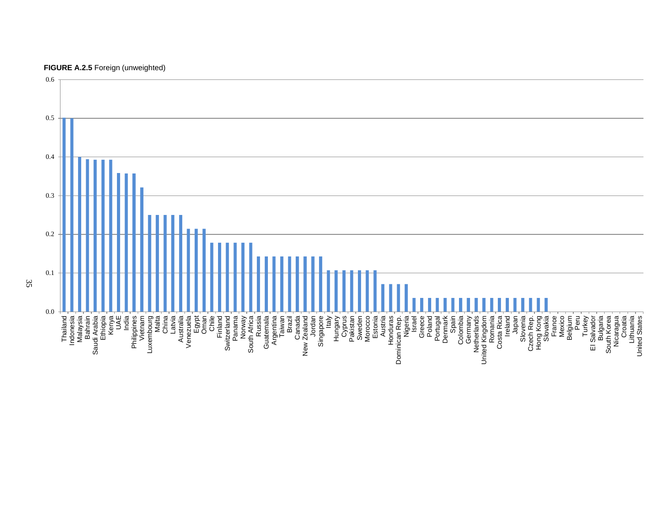

#### **FIGURE A.2.5** Foreign (unweighted)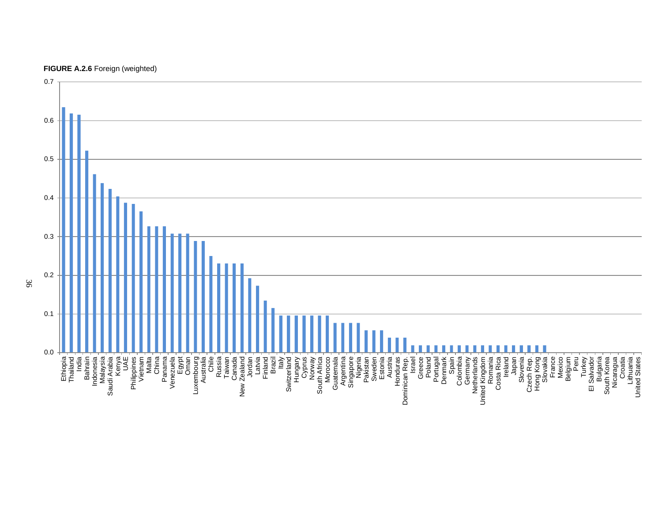

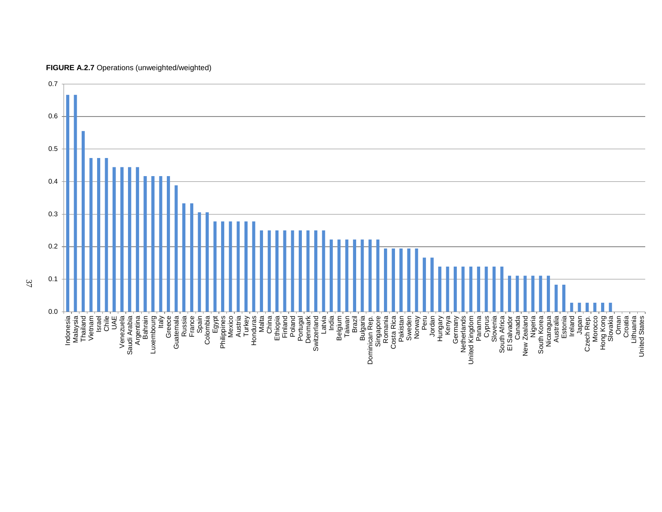

**FIGURE A.2.7** Operations (unweighted/weighted)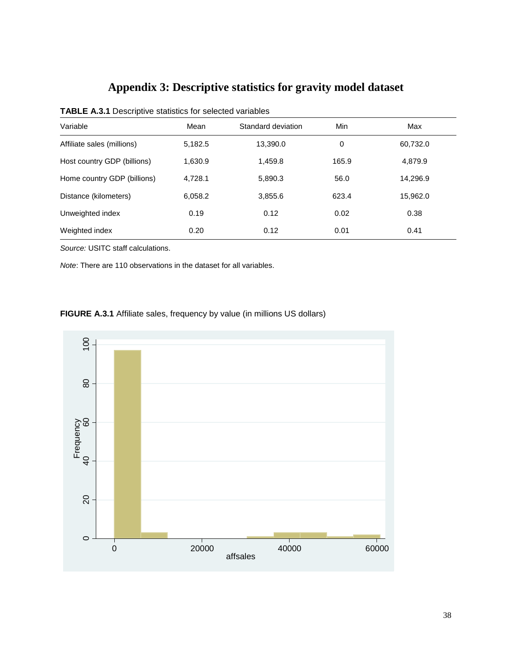# **Appendix 3: Descriptive statistics for gravity model dataset**

| Mean    | Standard deviation | Min   | Max      |  |  |
|---------|--------------------|-------|----------|--|--|
| 5,182.5 | 13,390.0           | 0     | 60,732.0 |  |  |
| 1.630.9 | 1,459.8            | 165.9 | 4,879.9  |  |  |
| 4.728.1 | 5.890.3            | 56.0  | 14,296.9 |  |  |
| 6,058.2 | 3,855.6            | 623.4 | 15,962.0 |  |  |
| 0.19    | 0.12               | 0.02  | 0.38     |  |  |
| 0.20    | 0.12               | 0.01  | 0.41     |  |  |
|         |                    |       |          |  |  |

| <b>TABLE A.3.1 Descriptive statistics for selected variables</b> |  |  |  |
|------------------------------------------------------------------|--|--|--|
|------------------------------------------------------------------|--|--|--|

*Source:* USITC staff calculations.

*Note*: There are 110 observations in the dataset for all variables.

**FIGURE A.3.1** Affiliate sales, frequency by value (in millions US dollars)

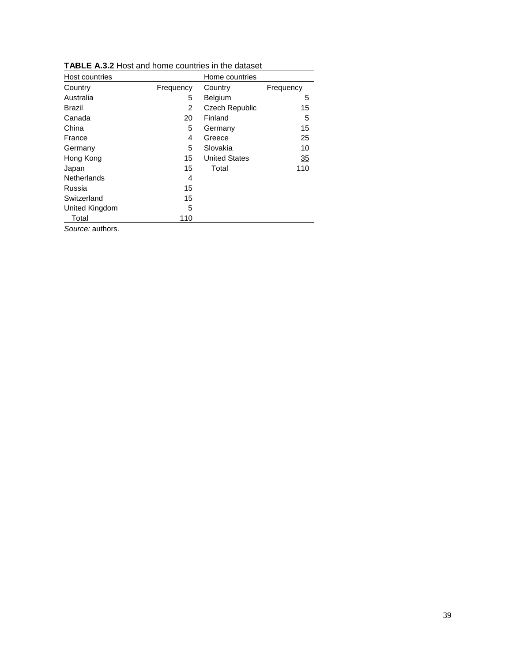| Host countries     |                | Home countries        |           |
|--------------------|----------------|-----------------------|-----------|
| Country            | Frequency      | Country               | Frequency |
| Australia          | 5              | Belgium               | 5         |
| Brazil             | 2              | <b>Czech Republic</b> | 15        |
| Canada             | 20             | Finland               | 5         |
| China              | 5              | Germany               | 15        |
| France             | 4              | Greece                | 25        |
| Germany            | 5              | Slovakia              | 10        |
| Hong Kong          | 15             | <b>United States</b>  | 35        |
| Japan              | 15             | Total                 | 110       |
| <b>Netherlands</b> | 4              |                       |           |
| Russia             | 15             |                       |           |
| Switzerland        | 15             |                       |           |
| United Kingdom     | $\overline{5}$ |                       |           |
| Total              | 110            |                       |           |
| Source: authors.   |                |                       |           |

**TABLE A.3.2** Host and home countries in the dataset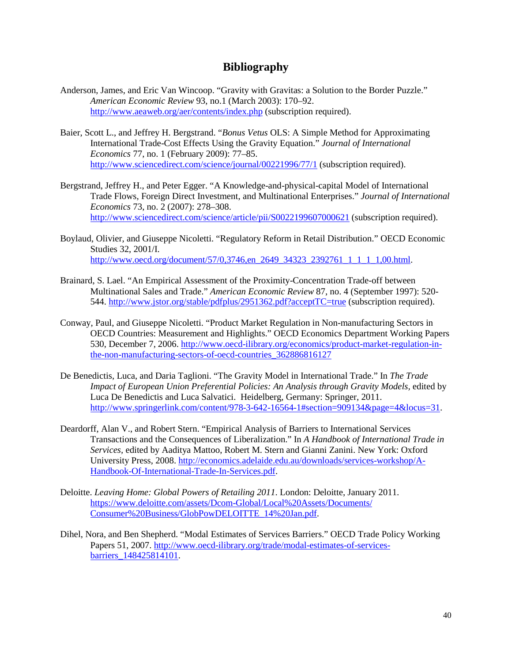### **Bibliography**

- Anderson, James, and Eric Van Wincoop. "Gravity with Gravitas: a Solution to the Border Puzzle." *American Economic Review* 93, no.1 (March 2003): 170–92. <http://www.aeaweb.org/aer/contents/index.php> (subscription required).
- Baier, Scott L., and Jeffrey H. Bergstrand. "*Bonus Vetus* OLS: A Simple Method for Approximating International Trade-Cost Effects Using the Gravity Equation." *Journal of International Economics* 77, no. 1 (February 2009): 77–85. <http://www.sciencedirect.com/science/journal/00221996/77/1> (subscription required).
- Bergstrand, Jeffrey H., and Peter Egger. "A Knowledge-and-physical-capital Model of International Trade Flows, Foreign Direct Investment, and Multinational Enterprises." *Journal of International Economics* 73, no. 2 (2007): 278–308. <http://www.sciencedirect.com/science/article/pii/S0022199607000621> (subscription required).
- Boylaud, Olivier, and Giuseppe Nicoletti. "Regulatory Reform in Retail Distribution." OECD Economic Studies 32, 2001/I. [http://www.oecd.org/document/57/0,3746,en\\_2649\\_34323\\_2392761\\_1\\_1\\_1\\_1,00.html.](http://www.oecd.org/document/57/0,3746,en_2649_34323_2392761_1_1_1_1,00.html)
- Brainard, S. Lael. "An Empirical Assessment of the Proximity-Concentration Trade-off between Multinational Sales and Trade." *American Economic Review* 87, no. 4 (September 1997): 520- 544.<http://www.jstor.org/stable/pdfplus/2951362.pdf?acceptTC=true> (subscription required).
- Conway, Paul, and Giuseppe Nicoletti. "Product Market Regulation in Non-manufacturing Sectors in OECD Countries: Measurement and Highlights." OECD Economics Department Working Papers 530, December 7, 2006. [http://www.oecd-ilibrary.org/economics/product-market-regulation-in](http://www.oecd-ilibrary.org/economics/product-market-regulation-in-the-non-manufacturing-sectors-of-oecd-countries_362886816127)[the-non-manufacturing-sectors-of-oecd-countries\\_362886816127](http://www.oecd-ilibrary.org/economics/product-market-regulation-in-the-non-manufacturing-sectors-of-oecd-countries_362886816127)
- De Benedictis, Luca, and Daria Taglioni. "The Gravity Model in International Trade." In *The Trade Impact of European Union Preferential Policies: An Analysis through Gravity Models,* edited by Luca De Benedictis and Luca Salvatici. Heidelberg, Germany: Springer, 2011. [http://www.springerlink.com/content/978-3-642-16564-1#section=909134&page=4&locus=31.](http://www.springerlink.com/content/978-3-642-16564-1#section=909134&page=4&locus=31)
- Deardorff, Alan V., and Robert Stern. "Empirical Analysis of Barriers to International Services Transactions and the Consequences of Liberalization." In *A Handbook of International Trade in Services,* edited by Aaditya Mattoo, Robert M. Stern and Gianni Zanini. New York: Oxford University Press, 2008. [http://economics.adelaide.edu.au/downloads/services-workshop/A-](http://economics.adelaide.edu.au/downloads/services-workshop/A-Handbook-Of-International-Trade-In-Services.pdf)[Handbook-Of-International-Trade-In-Services.pdf.](http://economics.adelaide.edu.au/downloads/services-workshop/A-Handbook-Of-International-Trade-In-Services.pdf)
- Deloitte. *Leaving Home: Global Powers of Retailing 2011*. London: Deloitte, January 2011. [https://www.deloitte.com/assets/Dcom-Global/Local%20Assets/Documents/](https://www.deloitte.com/assets/Dcom-Global/Local%20Assets/Documents/%20Consumer%20Business/GlobPowDELOITTE_14%20Jan.pdf)  [Consumer%20Business/GlobPowDELOITTE\\_14%20Jan.pdf.](https://www.deloitte.com/assets/Dcom-Global/Local%20Assets/Documents/%20Consumer%20Business/GlobPowDELOITTE_14%20Jan.pdf)
- Dihel, Nora, and Ben Shepherd. "Modal Estimates of Services Barriers." OECD Trade Policy Working Papers 51, 2007. [http://www.oecd-ilibrary.org/trade/modal-estimates-of-services](http://www.oecd-ilibrary.org/trade/modal-estimates-of-services-barriers_148425814101)[barriers\\_148425814101.](http://www.oecd-ilibrary.org/trade/modal-estimates-of-services-barriers_148425814101)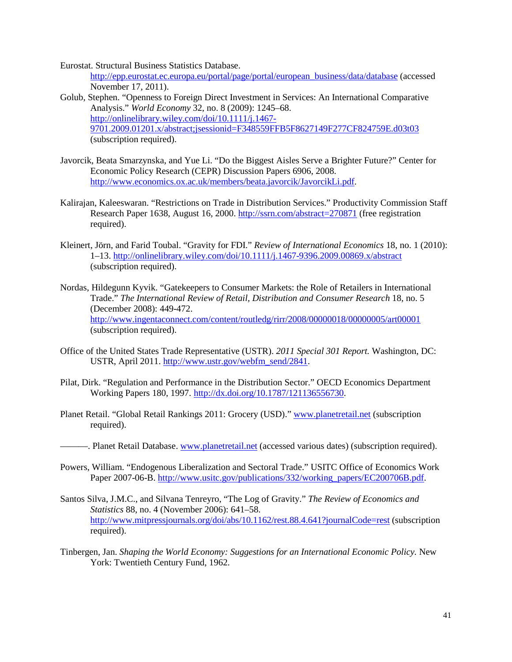Eurostat. Structural Business Statistics Database.

[http://epp.eurostat.ec.europa.eu/portal/page/portal/european\\_business/data/database](http://epp.eurostat.ec.europa.eu/portal/page/portal/european_business/data/database) (accessed November 17, 2011).

- Golub, Stephen. "Openness to Foreign Direct Investment in Services: An International Comparative Analysis." *World Economy* 32, no. 8 (2009): 1245–68. [http://onlinelibrary.wiley.com/doi/10.1111/j.1467-](http://onlinelibrary.wiley.com/doi/10.1111/j.1467-9701.2009.01201.x/abstract;jsessionid=F348559FFB5F8627149F277CF824759E.d03t03) [9701.2009.01201.x/abstract;jsessionid=F348559FFB5F8627149F277CF824759E.d03t03](http://onlinelibrary.wiley.com/doi/10.1111/j.1467-9701.2009.01201.x/abstract;jsessionid=F348559FFB5F8627149F277CF824759E.d03t03) (subscription required).
- Javorcik, Beata Smarzynska, and Yue Li. "Do the Biggest Aisles Serve a Brighter Future?" Center for Economic Policy Research (CEPR) Discussion Papers 6906, 2008. [http://www.economics.ox.ac.uk/members/beata.javorcik/JavorcikLi.pdf.](http://www.economics.ox.ac.uk/members/beata.javorcik/JavorcikLi.pdf)
- Kalirajan, Kaleeswaran. "Restrictions on Trade in Distribution Services." Productivity Commission Staff Research Paper 1638, August 16, 2000.<http://ssrn.com/abstract=270871> (free registration required).
- Kleinert, Jörn, and Farid Toubal. "Gravity for FDI." *Review of International Economics* 18, no. 1 (2010): 1–13.<http://onlinelibrary.wiley.com/doi/10.1111/j.1467-9396.2009.00869.x/abstract> (subscription required).
- Nordas, Hildegunn Kyvik. "Gatekeepers to Consumer Markets: the Role of Retailers in International Trade." *The International Review of Retail, Distribution and Consumer Research* 18, no. 5 (December 2008): 449-472. <http://www.ingentaconnect.com/content/routledg/rirr/2008/00000018/00000005/art00001> (subscription required).
- Office of the United States Trade Representative (USTR). *2011 Special 301 Report.* Washington, DC: USTR, April 2011. [http://www.ustr.gov/webfm\\_send/2841.](http://www.ustr.gov/webfm_send/2841)
- Pilat, Dirk. "Regulation and Performance in the Distribution Sector." OECD Economics Department Working Papers 180, 1997. [http://dx.doi.org/10.1787/121136556730.](http://dx.doi.org/10.1787/121136556730)
- Planet Retail. "Global Retail Rankings 2011: Grocery (USD)." [www.planetretail.net](http://www.planetretail.net/) (subscription required).
- ———. Planet Retail Database[. www.planetretail.net](http://www.planetretail.net/) (accessed various dates) (subscription required).
- Powers, William. "Endogenous Liberalization and Sectoral Trade." USITC Office of Economics Work Paper 2007-06-B. [http://www.usitc.gov/publications/332/working\\_papers/EC200706B.pdf.](http://www.usitc.gov/publications/332/working_papers/EC200706B.pdf)
- Santos Silva, J.M.C., and Silvana Tenreyro, "The Log of Gravity." *The Review of Economics and Statistics* 88, no. 4 (November 2006): 641–58. <http://www.mitpressjournals.org/doi/abs/10.1162/rest.88.4.641?journalCode=rest> (subscription required).
- Tinbergen, Jan. *Shaping the World Economy: Suggestions for an International Economic Policy.* New York: Twentieth Century Fund, 1962.